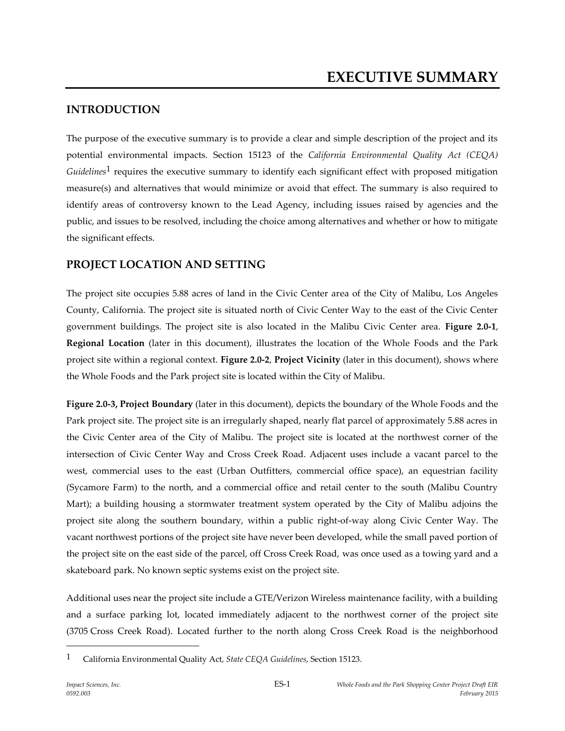# **INTRODUCTION**

The purpose of the executive summary is to provide a clear and simple description of the project and its potential environmental impacts. Section 15123 of the *California Environmental Quality Act (CEQA) Guidelines*1 requires the executive summary to identify each significant effect with proposed mitigation measure(s) and alternatives that would minimize or avoid that effect. The summary is also required to identify areas of controversy known to the Lead Agency, including issues raised by agencies and the public, and issues to be resolved, including the choice among alternatives and whether or how to mitigate the significant effects.

# **PROJECT LOCATION AND SETTING**

The project site occupies 5.88 acres of land in the Civic Center area of the City of Malibu, Los Angeles County, California. The project site is situated north of Civic Center Way to the east of the Civic Center government buildings. The project site is also located in the Malibu Civic Center area. **Figure 2.0-1**, **Regional Location** (later in this document), illustrates the location of the Whole Foods and the Park project site within a regional context. **Figure 2.0-2**, **Project Vicinity** (later in this document), shows where the Whole Foods and the Park project site is located within the City of Malibu.

**Figure 2.0-3, Project Boundary** (later in this document), depicts the boundary of the Whole Foods and the Park project site. The project site is an irregularly shaped, nearly flat parcel of approximately 5.88 acres in the Civic Center area of the City of Malibu. The project site is located at the northwest corner of the intersection of Civic Center Way and Cross Creek Road. Adjacent uses include a vacant parcel to the west, commercial uses to the east (Urban Outfitters, commercial office space), an equestrian facility (Sycamore Farm) to the north, and a commercial office and retail center to the south (Malibu Country Mart); a building housing a stormwater treatment system operated by the City of Malibu adjoins the project site along the southern boundary, within a public right-of-way along Civic Center Way. The vacant northwest portions of the project site have never been developed, while the small paved portion of the project site on the east side of the parcel, off Cross Creek Road, was once used as a towing yard and a skateboard park. No known septic systems exist on the project site.

Additional uses near the project site include a GTE/Verizon Wireless maintenance facility, with a building and a surface parking lot, located immediately adjacent to the northwest corner of the project site (3705 Cross Creek Road). Located further to the north along Cross Creek Road is the neighborhood

<sup>1</sup> California Environmental Quality Act, *State CEQA Guidelines*, Section 15123.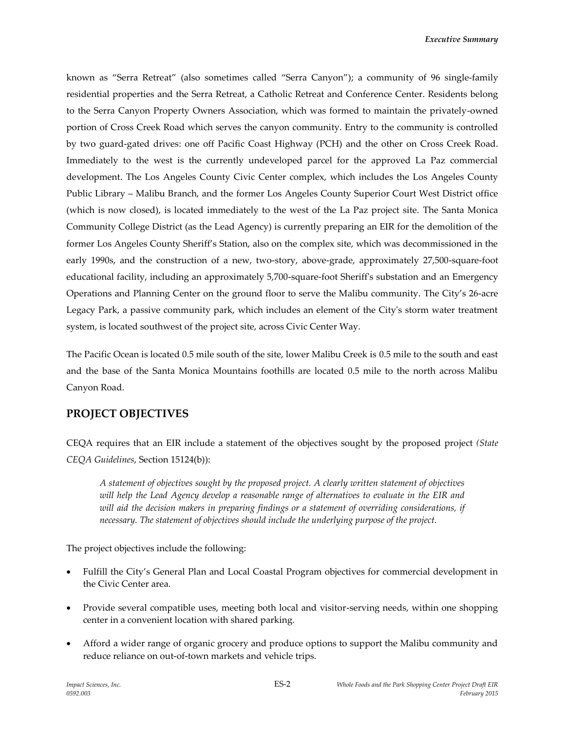known as "Serra Retreat" (also sometimes called "Serra Canyon"); a community of 96 single-family residential properties and the Serra Retreat, a Catholic Retreat and Conference Center. Residents belong to the Serra Canyon Property Owners Association, which was formed to maintain the privately-owned portion of Cross Creek Road which serves the canyon community. Entry to the community is controlled by two guard-gated drives: one off Pacific Coast Highway (PCH) and the other on Cross Creek Road. Immediately to the west is the currently undeveloped parcel for the approved La Paz commercial development. The Los Angeles County Civic Center complex, which includes the Los Angeles County Public Library – Malibu Branch, and the former Los Angeles County Superior Court West District office (which is now closed), is located immediately to the west of the La Paz project site. The Santa Monica Community College District (as the Lead Agency) is currently preparing an EIR for the demolition of the former Los Angeles County Sheriff's Station, also on the complex site, which was decommissioned in the early 1990s, and the construction of a new, two-story, above-grade, approximately 27,500-square-foot educational facility, including an approximately 5,700-square-foot Sheriff's substation and an Emergency Operations and Planning Center on the ground floor to serve the Malibu community. The City's 26-acre Legacy Park, a passive community park, which includes an element of the City's storm water treatment system, is located southwest of the project site, across Civic Center Way.

The Pacific Ocean is located 0.5 mile south of the site, lower Malibu Creek is 0.5 mile to the south and east and the base of the Santa Monica Mountains foothills are located 0.5 mile to the north across Malibu Canyon Road.

## **PROJECT OBJECTIVES**

CEQA requires that an EIR include a statement of the objectives sought by the proposed project *(State CEQA Guidelines*, Section 15124(b)):

*A statement of objectives sought by the proposed project. A clearly written statement of objectives will help the Lead Agency develop a reasonable range of alternatives to evaluate in the EIR and will aid the decision makers in preparing findings or a statement of overriding considerations, if necessary. The statement of objectives should include the underlying purpose of the project.*

The project objectives include the following:

- Fulfill the City's General Plan and Local Coastal Program objectives for commercial development in the Civic Center area.
- Provide several compatible uses, meeting both local and visitor-serving needs, within one shopping center in a convenient location with shared parking.
- Afford a wider range of organic grocery and produce options to support the Malibu community and reduce reliance on out‐of‐town markets and vehicle trips.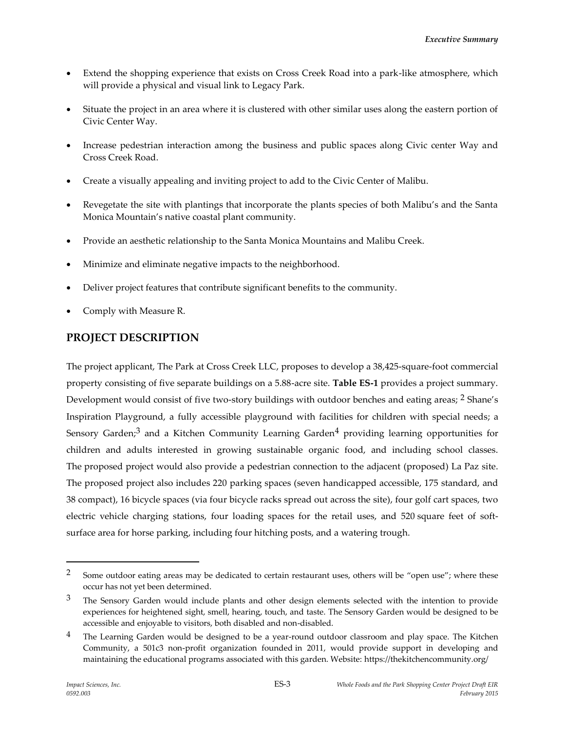- Extend the shopping experience that exists on Cross Creek Road into a park-like atmosphere, which will provide a physical and visual link to Legacy Park.
- Situate the project in an area where it is clustered with other similar uses along the eastern portion of Civic Center Way.
- Increase pedestrian interaction among the business and public spaces along Civic center Way and Cross Creek Road.
- Create a visually appealing and inviting project to add to the Civic Center of Malibu.
- Revegetate the site with plantings that incorporate the plants species of both Malibu's and the Santa Monica Mountain's native coastal plant community.
- Provide an aesthetic relationship to the Santa Monica Mountains and Malibu Creek.
- Minimize and eliminate negative impacts to the neighborhood.
- Deliver project features that contribute significant benefits to the community.
- Comply with Measure R.

# **PROJECT DESCRIPTION**

The project applicant, The Park at Cross Creek LLC, proposes to develop a 38,425-square-foot commercial property consisting of five separate buildings on a 5.88-acre site. **Table ES-1** provides a project summary. Development would consist of five two-story buildings with outdoor benches and eating areas; <sup>2</sup> Shane's Inspiration Playground, a fully accessible playground with facilities for children with special needs; a Sensory Garden;<sup>3</sup> and a Kitchen Community Learning Garden<sup>4</sup> providing learning opportunities for children and adults interested in growing sustainable organic food, and including school classes. The proposed project would also provide a pedestrian connection to the adjacent (proposed) La Paz site. The proposed project also includes 220 parking spaces (seven handicapped accessible, 175 standard, and 38 compact), 16 bicycle spaces (via four bicycle racks spread out across the site), four golf cart spaces, two electric vehicle charging stations, four loading spaces for the retail uses, and 520 square feet of softsurface area for horse parking, including four hitching posts, and a watering trough.

1

<sup>&</sup>lt;sup>2</sup> Some outdoor eating areas may be dedicated to certain restaurant uses, others will be "open use"; where these occur has not yet been determined.

 $3$  The Sensory Garden would include plants and other design elements selected with the intention to provide experiences for heightened sight, smell, hearing, touch, and taste. The Sensory Garden would be designed to be accessible and enjoyable to visitors, both disabled and non-disabled.

 $4$  The Learning Garden would be designed to be a year-round outdoor classroom and play space. The Kitchen Community, a 501c3 non-profit organization founded in 2011, would provide support in developing and maintaining the educational programs associated with this garden. Website: https://thekitchencommunity.org/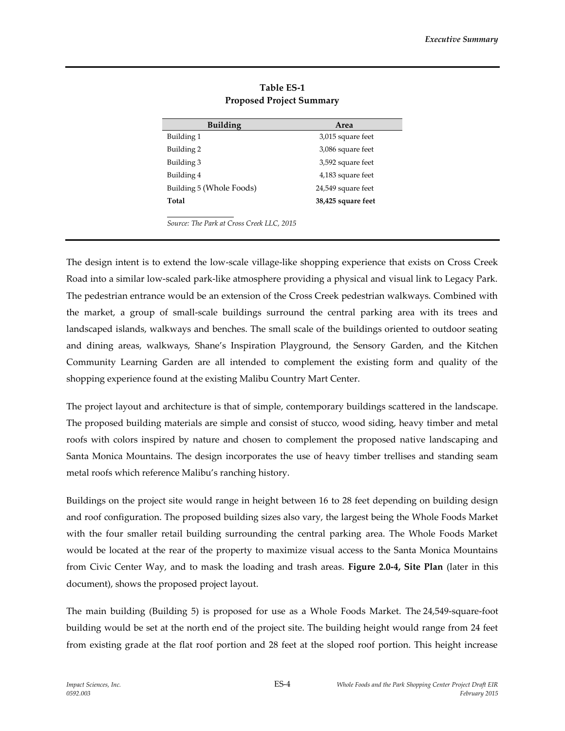| <b>Building</b>                           | Area               |
|-------------------------------------------|--------------------|
| Building 1                                | 3,015 square feet  |
| Building 2                                | 3,086 square feet  |
| Building 3                                | 3,592 square feet  |
| Building 4                                | 4,183 square feet  |
| Building 5 (Whole Foods)                  | 24,549 square feet |
| Total                                     | 38,425 square feet |
|                                           |                    |
| Source: The Park at Cross Creek LLC, 2015 |                    |

**Table ES-1 Proposed Project Summary**

The design intent is to extend the low-scale village-like shopping experience that exists on Cross Creek Road into a similar low-scaled park‐like atmosphere providing a physical and visual link to Legacy Park. The pedestrian entrance would be an extension of the Cross Creek pedestrian walkways. Combined with the market, a group of small‐scale buildings surround the central parking area with its trees and landscaped islands, walkways and benches. The small scale of the buildings oriented to outdoor seating and dining areas, walkways, Shane's Inspiration Playground, the Sensory Garden, and the Kitchen Community Learning Garden are all intended to complement the existing form and quality of the shopping experience found at the existing Malibu Country Mart Center.

The project layout and architecture is that of simple, contemporary buildings scattered in the landscape. The proposed building materials are simple and consist of stucco, wood siding, heavy timber and metal roofs with colors inspired by nature and chosen to complement the proposed native landscaping and Santa Monica Mountains. The design incorporates the use of heavy timber trellises and standing seam metal roofs which reference Malibu's ranching history.

Buildings on the project site would range in height between 16 to 28 feet depending on building design and roof configuration. The proposed building sizes also vary, the largest being the Whole Foods Market with the four smaller retail building surrounding the central parking area. The Whole Foods Market would be located at the rear of the property to maximize visual access to the Santa Monica Mountains from Civic Center Way, and to mask the loading and trash areas. **Figure 2.0-4, Site Plan** (later in this document), shows the proposed project layout.

The main building (Building 5) is proposed for use as a Whole Foods Market. The 24,549-square-foot building would be set at the north end of the project site. The building height would range from 24 feet from existing grade at the flat roof portion and 28 feet at the sloped roof portion. This height increase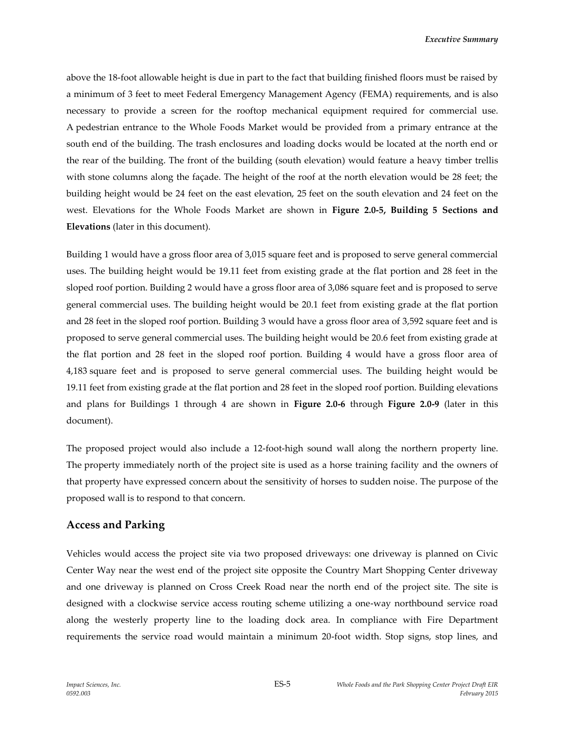above the 18-foot allowable height is due in part to the fact that building finished floors must be raised by a minimum of 3 feet to meet Federal Emergency Management Agency (FEMA) requirements, and is also necessary to provide a screen for the rooftop mechanical equipment required for commercial use. A pedestrian entrance to the Whole Foods Market would be provided from a primary entrance at the south end of the building. The trash enclosures and loading docks would be located at the north end or the rear of the building. The front of the building (south elevation) would feature a heavy timber trellis with stone columns along the façade. The height of the roof at the north elevation would be 28 feet; the building height would be 24 feet on the east elevation, 25 feet on the south elevation and 24 feet on the west. Elevations for the Whole Foods Market are shown in **Figure 2.0-5, Building 5 Sections and Elevations** (later in this document).

Building 1 would have a gross floor area of 3,015 square feet and is proposed to serve general commercial uses. The building height would be 19.11 feet from existing grade at the flat portion and 28 feet in the sloped roof portion. Building 2 would have a gross floor area of 3,086 square feet and is proposed to serve general commercial uses. The building height would be 20.1 feet from existing grade at the flat portion and 28 feet in the sloped roof portion. Building 3 would have a gross floor area of 3,592 square feet and is proposed to serve general commercial uses. The building height would be 20.6 feet from existing grade at the flat portion and 28 feet in the sloped roof portion. Building 4 would have a gross floor area of 4,183 square feet and is proposed to serve general commercial uses. The building height would be 19.11 feet from existing grade at the flat portion and 28 feet in the sloped roof portion. Building elevations and plans for Buildings 1 through 4 are shown in **Figure 2.0-6** through **Figure 2.0-9** (later in this document).

The proposed project would also include a 12-foot-high sound wall along the northern property line. The property immediately north of the project site is used as a horse training facility and the owners of that property have expressed concern about the sensitivity of horses to sudden noise. The purpose of the proposed wall is to respond to that concern.

#### **Access and Parking**

Vehicles would access the project site via two proposed driveways: one driveway is planned on Civic Center Way near the west end of the project site opposite the Country Mart Shopping Center driveway and one driveway is planned on Cross Creek Road near the north end of the project site. The site is designed with a clockwise service access routing scheme utilizing a one-way northbound service road along the westerly property line to the loading dock area. In compliance with Fire Department requirements the service road would maintain a minimum 20-foot width. Stop signs, stop lines, and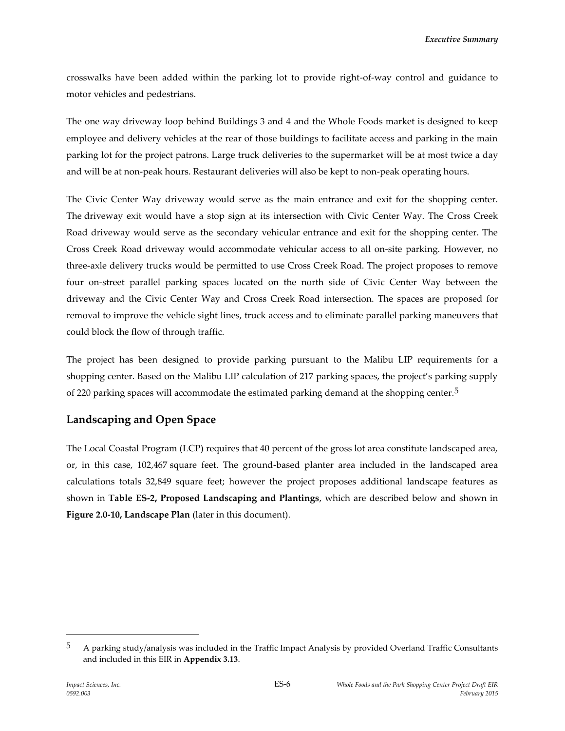crosswalks have been added within the parking lot to provide right-of-way control and guidance to motor vehicles and pedestrians.

The one way driveway loop behind Buildings 3 and 4 and the Whole Foods market is designed to keep employee and delivery vehicles at the rear of those buildings to facilitate access and parking in the main parking lot for the project patrons. Large truck deliveries to the supermarket will be at most twice a day and will be at non-peak hours. Restaurant deliveries will also be kept to non-peak operating hours.

The Civic Center Way driveway would serve as the main entrance and exit for the shopping center. The driveway exit would have a stop sign at its intersection with Civic Center Way. The Cross Creek Road driveway would serve as the secondary vehicular entrance and exit for the shopping center. The Cross Creek Road driveway would accommodate vehicular access to all on-site parking. However, no three-axle delivery trucks would be permitted to use Cross Creek Road. The project proposes to remove four on-street parallel parking spaces located on the north side of Civic Center Way between the driveway and the Civic Center Way and Cross Creek Road intersection. The spaces are proposed for removal to improve the vehicle sight lines, truck access and to eliminate parallel parking maneuvers that could block the flow of through traffic.

The project has been designed to provide parking pursuant to the Malibu LIP requirements for a shopping center. Based on the Malibu LIP calculation of 217 parking spaces, the project's parking supply of 220 parking spaces will accommodate the estimated parking demand at the shopping center.<sup>5</sup>

## **Landscaping and Open Space**

The Local Coastal Program (LCP) requires that 40 percent of the gross lot area constitute landscaped area, or, in this case, 102,467 square feet. The ground-based planter area included in the landscaped area calculations totals 32,849 square feet; however the project proposes additional landscape features as shown in **Table ES-2, Proposed Landscaping and Plantings**, which are described below and shown in **Figure 2.0-10, Landscape Plan** (later in this document).

 $5$  A parking study/analysis was included in the Traffic Impact Analysis by provided Overland Traffic Consultants and included in this EIR in **Appendix 3.13**.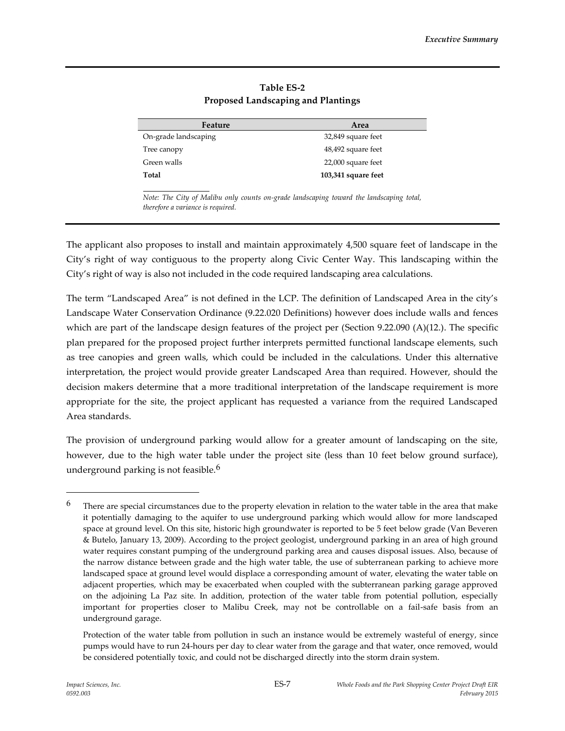| Feature              | Area                |
|----------------------|---------------------|
| On-grade landscaping | 32,849 square feet  |
| Tree canopy          | 48,492 square feet  |
| Green walls          | 22,000 square feet  |
| Total                | 103,341 square feet |
|                      |                     |

#### **Table ES-2 Proposed Landscaping and Plantings**

*Note: The City of Malibu only counts on-grade landscaping toward the landscaping total, therefore a variance is required.* 

The applicant also proposes to install and maintain approximately 4,500 square feet of landscape in the City's right of way contiguous to the property along Civic Center Way. This landscaping within the City's right of way is also not included in the code required landscaping area calculations.

The term "Landscaped Area" is not defined in the LCP. The definition of Landscaped Area in the city's Landscape Water Conservation Ordinance (9.22.020 Definitions) however does include walls and fences which are part of the landscape design features of the project per (Section 9.22.090 (A)(12.). The specific plan prepared for the proposed project further interprets permitted functional landscape elements, such as tree canopies and green walls, which could be included in the calculations. Under this alternative interpretation, the project would provide greater Landscaped Area than required. However, should the decision makers determine that a more traditional interpretation of the landscape requirement is more appropriate for the site, the project applicant has requested a variance from the required Landscaped Area standards.

The provision of underground parking would allow for a greater amount of landscaping on the site, however, due to the high water table under the project site (less than 10 feet below ground surface), underground parking is not feasible. $6$ 

 $6$  There are special circumstances due to the property elevation in relation to the water table in the area that make it potentially damaging to the aquifer to use underground parking which would allow for more landscaped space at ground level. On this site, historic high groundwater is reported to be 5 feet below grade (Van Beveren & Butelo, January 13, 2009). According to the project geologist, underground parking in an area of high ground water requires constant pumping of the underground parking area and causes disposal issues. Also, because of the narrow distance between grade and the high water table, the use of subterranean parking to achieve more landscaped space at ground level would displace a corresponding amount of water, elevating the water table on adjacent properties, which may be exacerbated when coupled with the subterranean parking garage approved on the adjoining La Paz site. In addition, protection of the water table from potential pollution, especially important for properties closer to Malibu Creek, may not be controllable on a fail-safe basis from an underground garage.

Protection of the water table from pollution in such an instance would be extremely wasteful of energy, since pumps would have to run 24-hours per day to clear water from the garage and that water, once removed, would be considered potentially toxic, and could not be discharged directly into the storm drain system.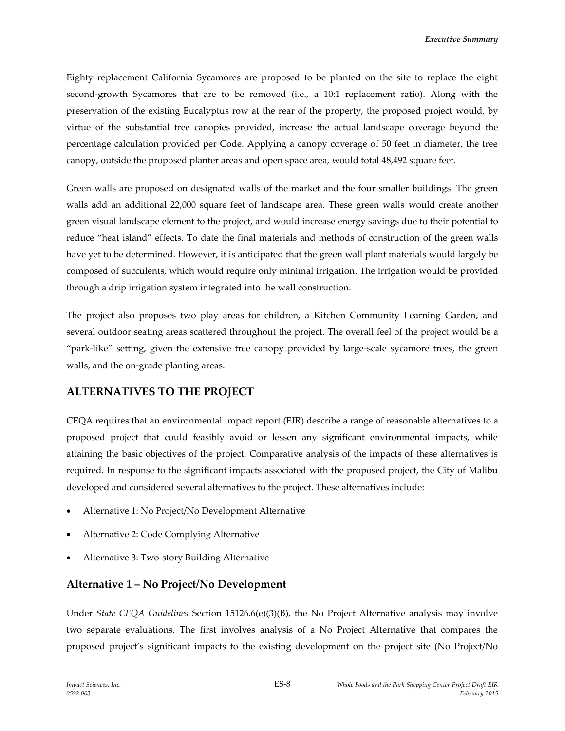Eighty replacement California Sycamores are proposed to be planted on the site to replace the eight second-growth Sycamores that are to be removed (i.e., a 10:1 replacement ratio). Along with the preservation of the existing Eucalyptus row at the rear of the property, the proposed project would, by virtue of the substantial tree canopies provided, increase the actual landscape coverage beyond the percentage calculation provided per Code. Applying a canopy coverage of 50 feet in diameter, the tree canopy, outside the proposed planter areas and open space area, would total 48,492 square feet.

Green walls are proposed on designated walls of the market and the four smaller buildings. The green walls add an additional 22,000 square feet of landscape area. These green walls would create another green visual landscape element to the project, and would increase energy savings due to their potential to reduce "heat island" effects. To date the final materials and methods of construction of the green walls have yet to be determined. However, it is anticipated that the green wall plant materials would largely be composed of succulents, which would require only minimal irrigation. The irrigation would be provided through a drip irrigation system integrated into the wall construction.

The project also proposes two play areas for children, a Kitchen Community Learning Garden, and several outdoor seating areas scattered throughout the project. The overall feel of the project would be a "park-like" setting, given the extensive tree canopy provided by large-scale sycamore trees, the green walls, and the on-grade planting areas.

#### **ALTERNATIVES TO THE PROJECT**

CEQA requires that an environmental impact report (EIR) describe a range of reasonable alternatives to a proposed project that could feasibly avoid or lessen any significant environmental impacts, while attaining the basic objectives of the project. Comparative analysis of the impacts of these alternatives is required. In response to the significant impacts associated with the proposed project, the City of Malibu developed and considered several alternatives to the project. These alternatives include:

- Alternative 1: No Project/No Development Alternative
- Alternative 2: Code Complying Alternative
- Alternative 3: Two-story Building Alternative

#### **Alternative 1 – No Project/No Development**

Under *State CEQA Guidelines* Section 15126.6(e)(3)(B), the No Project Alternative analysis may involve two separate evaluations. The first involves analysis of a No Project Alternative that compares the proposed project's significant impacts to the existing development on the project site (No Project/No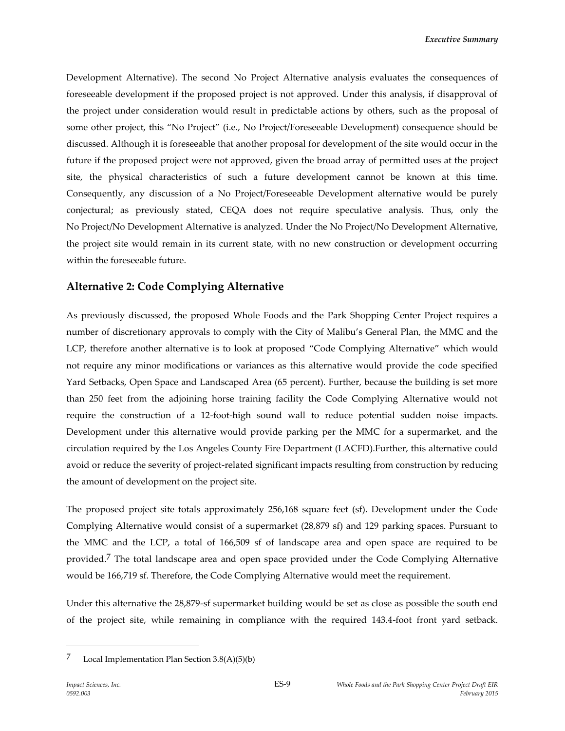Development Alternative). The second No Project Alternative analysis evaluates the consequences of foreseeable development if the proposed project is not approved. Under this analysis, if disapproval of the project under consideration would result in predictable actions by others, such as the proposal of some other project, this "No Project" (i.e., No Project/Foreseeable Development) consequence should be discussed. Although it is foreseeable that another proposal for development of the site would occur in the future if the proposed project were not approved, given the broad array of permitted uses at the project site, the physical characteristics of such a future development cannot be known at this time. Consequently, any discussion of a No Project/Foreseeable Development alternative would be purely conjectural; as previously stated, CEQA does not require speculative analysis. Thus, only the No Project/No Development Alternative is analyzed. Under the No Project/No Development Alternative, the project site would remain in its current state, with no new construction or development occurring within the foreseeable future.

### **Alternative 2: Code Complying Alternative**

As previously discussed, the proposed Whole Foods and the Park Shopping Center Project requires a number of discretionary approvals to comply with the City of Malibu's General Plan, the MMC and the LCP, therefore another alternative is to look at proposed "Code Complying Alternative" which would not require any minor modifications or variances as this alternative would provide the code specified Yard Setbacks, Open Space and Landscaped Area (65 percent). Further, because the building is set more than 250 feet from the adjoining horse training facility the Code Complying Alternative would not require the construction of a 12-foot-high sound wall to reduce potential sudden noise impacts. Development under this alternative would provide parking per the MMC for a supermarket, and the circulation required by the Los Angeles County Fire Department (LACFD).Further, this alternative could avoid or reduce the severity of project-related significant impacts resulting from construction by reducing the amount of development on the project site.

The proposed project site totals approximately 256,168 square feet (sf). Development under the Code Complying Alternative would consist of a supermarket (28,879 sf) and 129 parking spaces. Pursuant to the MMC and the LCP, a total of 166,509 sf of landscape area and open space are required to be provided.<sup>7</sup> The total landscape area and open space provided under the Code Complying Alternative would be 166,719 sf. Therefore, the Code Complying Alternative would meet the requirement.

Under this alternative the 28,879-sf supermarket building would be set as close as possible the south end of the project site, while remaining in compliance with the required 143.4-foot front yard setback.

 $7$  Local Implementation Plan Section 3.8(A)(5)(b)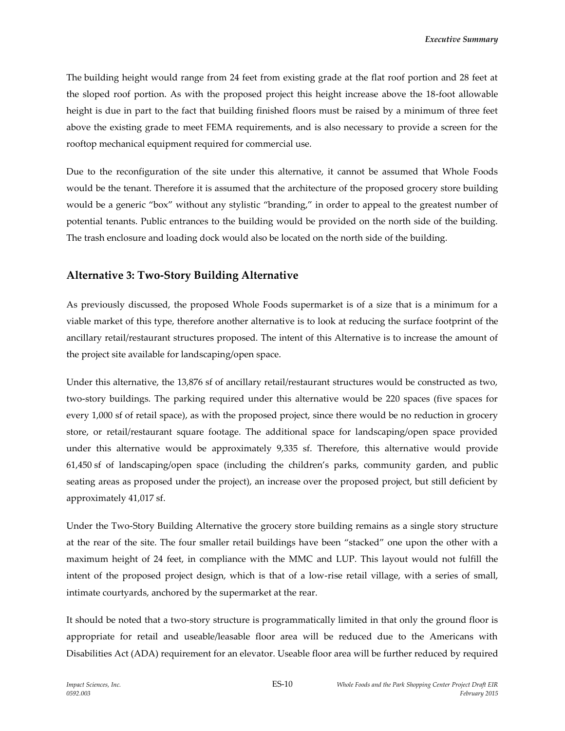The building height would range from 24 feet from existing grade at the flat roof portion and 28 feet at the sloped roof portion. As with the proposed project this height increase above the 18-foot allowable height is due in part to the fact that building finished floors must be raised by a minimum of three feet above the existing grade to meet FEMA requirements, and is also necessary to provide a screen for the rooftop mechanical equipment required for commercial use.

Due to the reconfiguration of the site under this alternative, it cannot be assumed that Whole Foods would be the tenant. Therefore it is assumed that the architecture of the proposed grocery store building would be a generic "box" without any stylistic "branding," in order to appeal to the greatest number of potential tenants. Public entrances to the building would be provided on the north side of the building. The trash enclosure and loading dock would also be located on the north side of the building.

#### **Alternative 3: Two-Story Building Alternative**

As previously discussed, the proposed Whole Foods supermarket is of a size that is a minimum for a viable market of this type, therefore another alternative is to look at reducing the surface footprint of the ancillary retail/restaurant structures proposed. The intent of this Alternative is to increase the amount of the project site available for landscaping/open space.

Under this alternative, the 13,876 sf of ancillary retail/restaurant structures would be constructed as two, two-story buildings. The parking required under this alternative would be 220 spaces (five spaces for every 1,000 sf of retail space), as with the proposed project, since there would be no reduction in grocery store, or retail/restaurant square footage. The additional space for landscaping/open space provided under this alternative would be approximately 9,335 sf. Therefore, this alternative would provide 61,450 sf of landscaping/open space (including the children's parks, community garden, and public seating areas as proposed under the project), an increase over the proposed project, but still deficient by approximately 41,017 sf.

Under the Two-Story Building Alternative the grocery store building remains as a single story structure at the rear of the site. The four smaller retail buildings have been "stacked" one upon the other with a maximum height of 24 feet, in compliance with the MMC and LUP. This layout would not fulfill the intent of the proposed project design, which is that of a low-rise retail village, with a series of small, intimate courtyards, anchored by the supermarket at the rear.

It should be noted that a two-story structure is programmatically limited in that only the ground floor is appropriate for retail and useable/leasable floor area will be reduced due to the Americans with Disabilities Act (ADA) requirement for an elevator. Useable floor area will be further reduced by required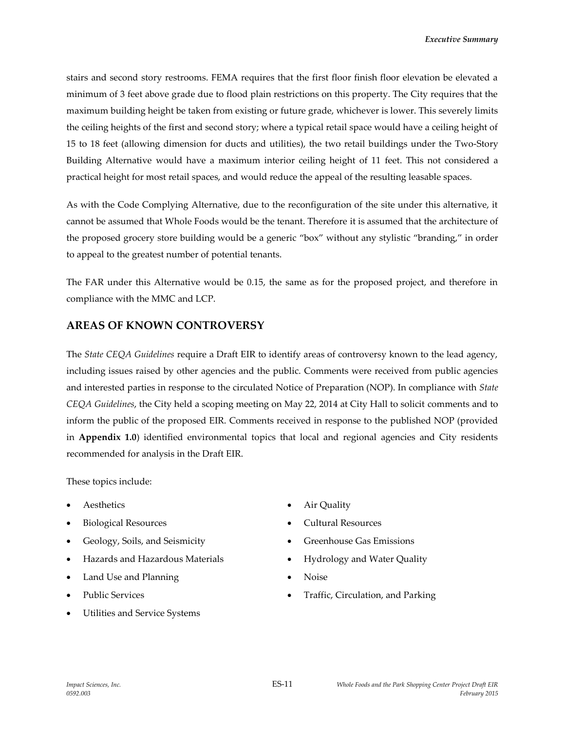stairs and second story restrooms. FEMA requires that the first floor finish floor elevation be elevated a minimum of 3 feet above grade due to flood plain restrictions on this property. The City requires that the maximum building height be taken from existing or future grade, whichever is lower. This severely limits the ceiling heights of the first and second story; where a typical retail space would have a ceiling height of 15 to 18 feet (allowing dimension for ducts and utilities), the two retail buildings under the Two-Story Building Alternative would have a maximum interior ceiling height of 11 feet. This not considered a practical height for most retail spaces, and would reduce the appeal of the resulting leasable spaces.

As with the Code Complying Alternative, due to the reconfiguration of the site under this alternative, it cannot be assumed that Whole Foods would be the tenant. Therefore it is assumed that the architecture of the proposed grocery store building would be a generic "box" without any stylistic "branding," in order to appeal to the greatest number of potential tenants.

The FAR under this Alternative would be 0.15, the same as for the proposed project, and therefore in compliance with the MMC and LCP.

## **AREAS OF KNOWN CONTROVERSY**

The *State CEQA Guidelines* require a Draft EIR to identify areas of controversy known to the lead agency, including issues raised by other agencies and the public. Comments were received from public agencies and interested parties in response to the circulated Notice of Preparation (NOP). In compliance with *State CEQA Guidelines*, the City held a scoping meeting on May 22, 2014 at City Hall to solicit comments and to inform the public of the proposed EIR. Comments received in response to the published NOP (provided in **Appendix 1.0**) identified environmental topics that local and regional agencies and City residents recommended for analysis in the Draft EIR.

These topics include:

- 
- 
- 
- Hazards and Hazardous Materials **•** Hydrology and Water Quality
- Land Use and Planning **Calculation Calculation Noise**
- 
- Utilities and Service Systems
- Aesthetics Air Quality
- Biological Resources **Cultural Resources**
- Geology, Soils, and Seismicity **Conserverse Conserverse Conserverse Conserverse Conserverse Conserverse Conserverse Conserverse Conserverse Conserverse Conserverse Conserverse Conserverse Conserverse Conserverse Conservers** 
	-
	-
- Public Services **Traffic**, Circulation, and Parking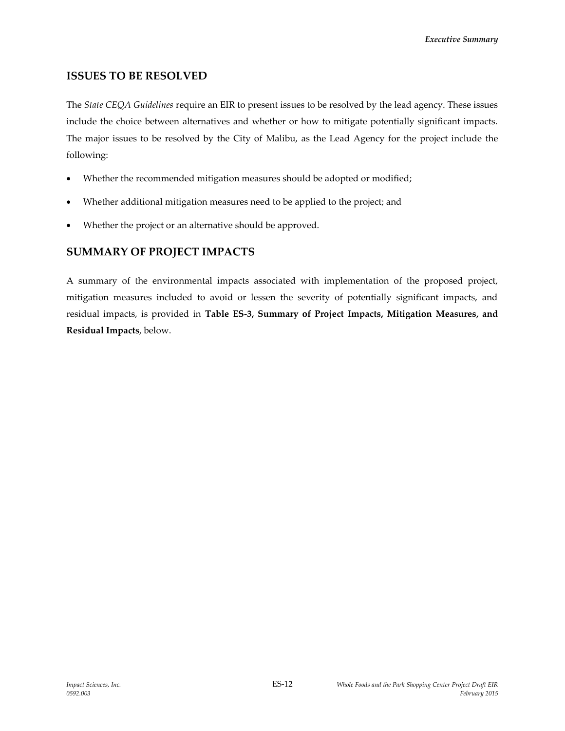### **ISSUES TO BE RESOLVED**

The *State CEQA Guidelines* require an EIR to present issues to be resolved by the lead agency. These issues include the choice between alternatives and whether or how to mitigate potentially significant impacts. The major issues to be resolved by the City of Malibu, as the Lead Agency for the project include the following:

- Whether the recommended mitigation measures should be adopted or modified;
- Whether additional mitigation measures need to be applied to the project; and
- Whether the project or an alternative should be approved.

## **SUMMARY OF PROJECT IMPACTS**

A summary of the environmental impacts associated with implementation of the proposed project, mitigation measures included to avoid or lessen the severity of potentially significant impacts, and residual impacts, is provided in **Table ES-3, Summary of Project Impacts, Mitigation Measures, and Residual Impacts**, below.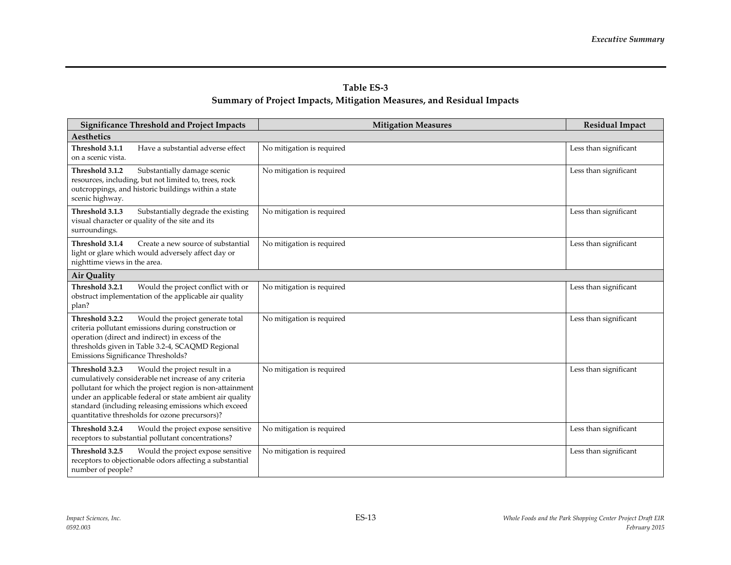## **Table ES-3 Summary of Project Impacts, Mitigation Measures, and Residual Impacts**

| <b>Significance Threshold and Project Impacts</b>                                                                                                                                                                                                                                                                                            | <b>Mitigation Measures</b> | <b>Residual Impact</b> |
|----------------------------------------------------------------------------------------------------------------------------------------------------------------------------------------------------------------------------------------------------------------------------------------------------------------------------------------------|----------------------------|------------------------|
| Aesthetics                                                                                                                                                                                                                                                                                                                                   |                            |                        |
| Threshold 3.1.1<br>Have a substantial adverse effect<br>on a scenic vista.                                                                                                                                                                                                                                                                   | No mitigation is required  | Less than significant  |
| Threshold 3.1.2<br>Substantially damage scenic<br>resources, including, but not limited to, trees, rock<br>outcroppings, and historic buildings within a state<br>scenic highway.                                                                                                                                                            | No mitigation is required  | Less than significant  |
| Threshold 3.1.3<br>Substantially degrade the existing<br>visual character or quality of the site and its<br>surroundings.                                                                                                                                                                                                                    | No mitigation is required  | Less than significant  |
| Threshold 3.1.4<br>Create a new source of substantial<br>light or glare which would adversely affect day or<br>nighttime views in the area.                                                                                                                                                                                                  | No mitigation is required  | Less than significant  |
| <b>Air Quality</b>                                                                                                                                                                                                                                                                                                                           |                            |                        |
| Threshold 3.2.1<br>Would the project conflict with or<br>obstruct implementation of the applicable air quality<br>plan?                                                                                                                                                                                                                      | No mitigation is required  | Less than significant  |
| Would the project generate total<br>Threshold 3.2.2<br>criteria pollutant emissions during construction or<br>operation (direct and indirect) in excess of the<br>thresholds given in Table 3.2-4, SCAQMD Regional<br>Emissions Significance Thresholds?                                                                                     | No mitigation is required  | Less than significant  |
| Threshold 3.2.3<br>Would the project result in a<br>cumulatively considerable net increase of any criteria<br>pollutant for which the project region is non-attainment<br>under an applicable federal or state ambient air quality<br>standard (including releasing emissions which exceed<br>quantitative thresholds for ozone precursors)? | No mitigation is required  | Less than significant  |
| Threshold 3.2.4<br>Would the project expose sensitive<br>receptors to substantial pollutant concentrations?                                                                                                                                                                                                                                  | No mitigation is required  | Less than significant  |
| Threshold 3.2.5<br>Would the project expose sensitive<br>receptors to objectionable odors affecting a substantial<br>number of people?                                                                                                                                                                                                       | No mitigation is required  | Less than significant  |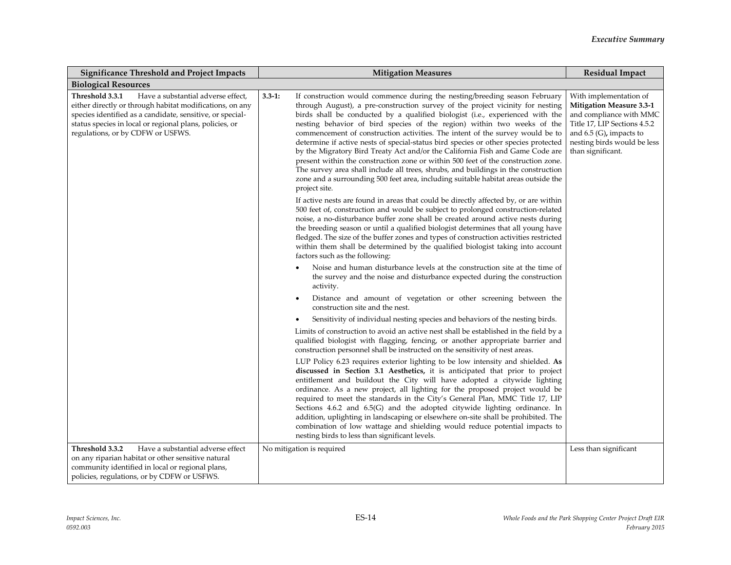| <b>Significance Threshold and Project Impacts</b>                                                                                                                                                                                                                              | <b>Mitigation Measures</b>                                                                                                                                                                                                                                                                                                                                                                                                                                                                                                                                                                                                                                                                                                                                                                                                                                                        | <b>Residual Impact</b>                                                                                                                                                                                |
|--------------------------------------------------------------------------------------------------------------------------------------------------------------------------------------------------------------------------------------------------------------------------------|-----------------------------------------------------------------------------------------------------------------------------------------------------------------------------------------------------------------------------------------------------------------------------------------------------------------------------------------------------------------------------------------------------------------------------------------------------------------------------------------------------------------------------------------------------------------------------------------------------------------------------------------------------------------------------------------------------------------------------------------------------------------------------------------------------------------------------------------------------------------------------------|-------------------------------------------------------------------------------------------------------------------------------------------------------------------------------------------------------|
| <b>Biological Resources</b>                                                                                                                                                                                                                                                    |                                                                                                                                                                                                                                                                                                                                                                                                                                                                                                                                                                                                                                                                                                                                                                                                                                                                                   |                                                                                                                                                                                                       |
| Threshold 3.3.1<br>Have a substantial adverse effect,<br>either directly or through habitat modifications, on any<br>species identified as a candidate, sensitive, or special-<br>status species in local or regional plans, policies, or<br>regulations, or by CDFW or USFWS. | If construction would commence during the nesting/breeding season February<br>$3.3 - 1:$<br>through August), a pre-construction survey of the project vicinity for nesting<br>birds shall be conducted by a qualified biologist (i.e., experienced with the<br>nesting behavior of bird species of the region) within two weeks of the<br>commencement of construction activities. The intent of the survey would be to<br>determine if active nests of special-status bird species or other species protected<br>by the Migratory Bird Treaty Act and/or the California Fish and Game Code are<br>present within the construction zone or within 500 feet of the construction zone.<br>The survey area shall include all trees, shrubs, and buildings in the construction<br>zone and a surrounding 500 feet area, including suitable habitat areas outside the<br>project site. | With implementation of<br><b>Mitigation Measure 3.3-1</b><br>and compliance with MMC<br>Title 17, LIP Sections 4.5.2<br>and $6.5$ (G), impacts to<br>nesting birds would be less<br>than significant. |
|                                                                                                                                                                                                                                                                                | If active nests are found in areas that could be directly affected by, or are within<br>500 feet of, construction and would be subject to prolonged construction-related<br>noise, a no-disturbance buffer zone shall be created around active nests during<br>the breeding season or until a qualified biologist determines that all young have<br>fledged. The size of the buffer zones and types of construction activities restricted<br>within them shall be determined by the qualified biologist taking into account<br>factors such as the following:                                                                                                                                                                                                                                                                                                                     |                                                                                                                                                                                                       |
|                                                                                                                                                                                                                                                                                | Noise and human disturbance levels at the construction site at the time of<br>the survey and the noise and disturbance expected during the construction<br>activity.                                                                                                                                                                                                                                                                                                                                                                                                                                                                                                                                                                                                                                                                                                              |                                                                                                                                                                                                       |
|                                                                                                                                                                                                                                                                                | Distance and amount of vegetation or other screening between the<br>construction site and the nest.                                                                                                                                                                                                                                                                                                                                                                                                                                                                                                                                                                                                                                                                                                                                                                               |                                                                                                                                                                                                       |
|                                                                                                                                                                                                                                                                                | Sensitivity of individual nesting species and behaviors of the nesting birds.                                                                                                                                                                                                                                                                                                                                                                                                                                                                                                                                                                                                                                                                                                                                                                                                     |                                                                                                                                                                                                       |
|                                                                                                                                                                                                                                                                                | Limits of construction to avoid an active nest shall be established in the field by a<br>qualified biologist with flagging, fencing, or another appropriate barrier and<br>construction personnel shall be instructed on the sensitivity of nest areas.                                                                                                                                                                                                                                                                                                                                                                                                                                                                                                                                                                                                                           |                                                                                                                                                                                                       |
|                                                                                                                                                                                                                                                                                | LUP Policy 6.23 requires exterior lighting to be low intensity and shielded. As<br>discussed in Section 3.1 Aesthetics, it is anticipated that prior to project<br>entitlement and buildout the City will have adopted a citywide lighting<br>ordinance. As a new project, all lighting for the proposed project would be<br>required to meet the standards in the City's General Plan, MMC Title 17, LIP<br>Sections 4.6.2 and 6.5(G) and the adopted citywide lighting ordinance. In<br>addition, uplighting in landscaping or elsewhere on-site shall be prohibited. The<br>combination of low wattage and shielding would reduce potential impacts to<br>nesting birds to less than significant levels.                                                                                                                                                                       |                                                                                                                                                                                                       |
| Threshold 3.3.2<br>Have a substantial adverse effect<br>on any riparian habitat or other sensitive natural<br>community identified in local or regional plans,<br>policies, regulations, or by CDFW or USFWS.                                                                  | No mitigation is required                                                                                                                                                                                                                                                                                                                                                                                                                                                                                                                                                                                                                                                                                                                                                                                                                                                         | Less than significant                                                                                                                                                                                 |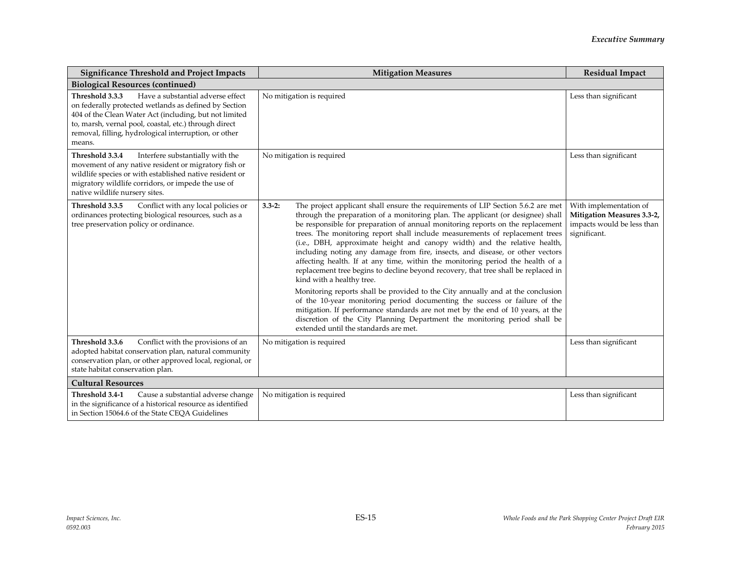| <b>Significance Threshold and Project Impacts</b>                                                                                                                                                                                                                                                   | <b>Mitigation Measures</b>                                                                                                                                                                                                                                                                                                                                                                                                                                                                                                                                                                                                                                                                                                                                                                                                                                                                                                                                                                                                                                                                       | <b>Residual Impact</b>                                                                             |
|-----------------------------------------------------------------------------------------------------------------------------------------------------------------------------------------------------------------------------------------------------------------------------------------------------|--------------------------------------------------------------------------------------------------------------------------------------------------------------------------------------------------------------------------------------------------------------------------------------------------------------------------------------------------------------------------------------------------------------------------------------------------------------------------------------------------------------------------------------------------------------------------------------------------------------------------------------------------------------------------------------------------------------------------------------------------------------------------------------------------------------------------------------------------------------------------------------------------------------------------------------------------------------------------------------------------------------------------------------------------------------------------------------------------|----------------------------------------------------------------------------------------------------|
| <b>Biological Resources (continued)</b>                                                                                                                                                                                                                                                             |                                                                                                                                                                                                                                                                                                                                                                                                                                                                                                                                                                                                                                                                                                                                                                                                                                                                                                                                                                                                                                                                                                  |                                                                                                    |
| Have a substantial adverse effect<br>Threshold 3.3.3<br>on federally protected wetlands as defined by Section<br>404 of the Clean Water Act (including, but not limited<br>to, marsh, vernal pool, coastal, etc.) through direct<br>removal, filling, hydrological interruption, or other<br>means. | No mitigation is required                                                                                                                                                                                                                                                                                                                                                                                                                                                                                                                                                                                                                                                                                                                                                                                                                                                                                                                                                                                                                                                                        | Less than significant                                                                              |
| Threshold 3.3.4<br>Interfere substantially with the<br>movement of any native resident or migratory fish or<br>wildlife species or with established native resident or<br>migratory wildlife corridors, or impede the use of<br>native wildlife nursery sites.                                      | No mitigation is required                                                                                                                                                                                                                                                                                                                                                                                                                                                                                                                                                                                                                                                                                                                                                                                                                                                                                                                                                                                                                                                                        | Less than significant                                                                              |
| Threshold 3.3.5<br>Conflict with any local policies or<br>ordinances protecting biological resources, such as a<br>tree preservation policy or ordinance.                                                                                                                                           | The project applicant shall ensure the requirements of LIP Section 5.6.2 are met<br>$3.3 - 2:$<br>through the preparation of a monitoring plan. The applicant (or designee) shall<br>be responsible for preparation of annual monitoring reports on the replacement<br>trees. The monitoring report shall include measurements of replacement trees<br>(i.e., DBH, approximate height and canopy width) and the relative health,<br>including noting any damage from fire, insects, and disease, or other vectors<br>affecting health. If at any time, within the monitoring period the health of a<br>replacement tree begins to decline beyond recovery, that tree shall be replaced in<br>kind with a healthy tree.<br>Monitoring reports shall be provided to the City annually and at the conclusion<br>of the 10-year monitoring period documenting the success or failure of the<br>mitigation. If performance standards are not met by the end of 10 years, at the<br>discretion of the City Planning Department the monitoring period shall be<br>extended until the standards are met. | With implementation of<br>Mitigation Measures 3.3-2,<br>impacts would be less than<br>significant. |
| Threshold 3.3.6<br>Conflict with the provisions of an<br>adopted habitat conservation plan, natural community<br>conservation plan, or other approved local, regional, or<br>state habitat conservation plan.                                                                                       | No mitigation is required                                                                                                                                                                                                                                                                                                                                                                                                                                                                                                                                                                                                                                                                                                                                                                                                                                                                                                                                                                                                                                                                        | Less than significant                                                                              |
| <b>Cultural Resources</b>                                                                                                                                                                                                                                                                           |                                                                                                                                                                                                                                                                                                                                                                                                                                                                                                                                                                                                                                                                                                                                                                                                                                                                                                                                                                                                                                                                                                  |                                                                                                    |
| Threshold 3.4-1<br>Cause a substantial adverse change<br>in the significance of a historical resource as identified<br>in Section 15064.6 of the State CEQA Guidelines                                                                                                                              | No mitigation is required                                                                                                                                                                                                                                                                                                                                                                                                                                                                                                                                                                                                                                                                                                                                                                                                                                                                                                                                                                                                                                                                        | Less than significant                                                                              |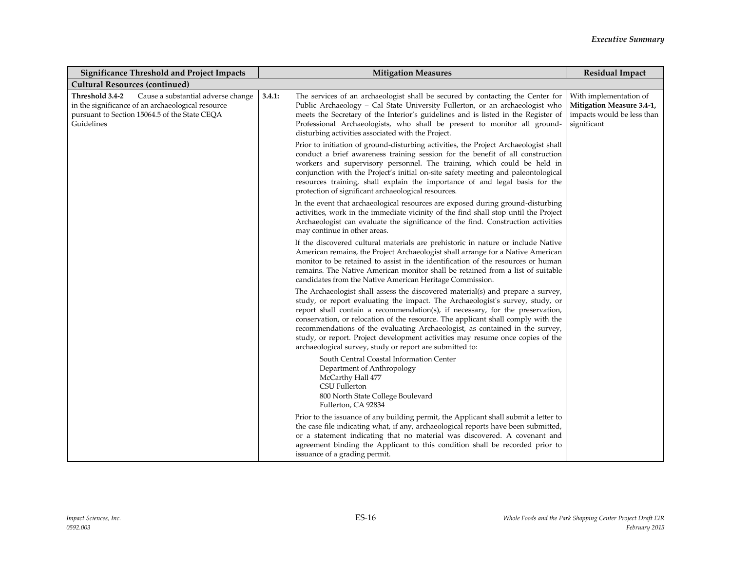| <b>Significance Threshold and Project Impacts</b>                                                                                                                         | <b>Mitigation Measures</b>                                                                                                                                                                                                                                                                                                                                                                                                                                                                                                                                          | <b>Residual Impact</b>                                                                           |
|---------------------------------------------------------------------------------------------------------------------------------------------------------------------------|---------------------------------------------------------------------------------------------------------------------------------------------------------------------------------------------------------------------------------------------------------------------------------------------------------------------------------------------------------------------------------------------------------------------------------------------------------------------------------------------------------------------------------------------------------------------|--------------------------------------------------------------------------------------------------|
| <b>Cultural Resources (continued)</b>                                                                                                                                     |                                                                                                                                                                                                                                                                                                                                                                                                                                                                                                                                                                     |                                                                                                  |
| Threshold 3.4-2<br>Cause a substantial adverse change<br>in the significance of an archaeological resource<br>pursuant to Section 15064.5 of the State CEQA<br>Guidelines | 3.4.1:<br>The services of an archaeologist shall be secured by contacting the Center for<br>Public Archaeology - Cal State University Fullerton, or an archaeologist who<br>meets the Secretary of the Interior's guidelines and is listed in the Register of<br>Professional Archaeologists, who shall be present to monitor all ground-<br>disturbing activities associated with the Project.                                                                                                                                                                     | With implementation of<br>Mitigation Measure 3.4-1,<br>impacts would be less than<br>significant |
|                                                                                                                                                                           | Prior to initiation of ground-disturbing activities, the Project Archaeologist shall<br>conduct a brief awareness training session for the benefit of all construction<br>workers and supervisory personnel. The training, which could be held in<br>conjunction with the Project's initial on-site safety meeting and paleontological<br>resources training, shall explain the importance of and legal basis for the<br>protection of significant archaeological resources.                                                                                        |                                                                                                  |
|                                                                                                                                                                           | In the event that archaeological resources are exposed during ground-disturbing<br>activities, work in the immediate vicinity of the find shall stop until the Project<br>Archaeologist can evaluate the significance of the find. Construction activities<br>may continue in other areas.                                                                                                                                                                                                                                                                          |                                                                                                  |
|                                                                                                                                                                           | If the discovered cultural materials are prehistoric in nature or include Native<br>American remains, the Project Archaeologist shall arrange for a Native American<br>monitor to be retained to assist in the identification of the resources or human<br>remains. The Native American monitor shall be retained from a list of suitable<br>candidates from the Native American Heritage Commission.                                                                                                                                                               |                                                                                                  |
|                                                                                                                                                                           | The Archaeologist shall assess the discovered material(s) and prepare a survey,<br>study, or report evaluating the impact. The Archaeologist's survey, study, or<br>report shall contain a recommendation(s), if necessary, for the preservation,<br>conservation, or relocation of the resource. The applicant shall comply with the<br>recommendations of the evaluating Archaeologist, as contained in the survey,<br>study, or report. Project development activities may resume once copies of the<br>archaeological survey, study or report are submitted to: |                                                                                                  |
|                                                                                                                                                                           | South Central Coastal Information Center<br>Department of Anthropology<br>McCarthy Hall 477<br><b>CSU Fullerton</b><br>800 North State College Boulevard<br>Fullerton, CA 92834                                                                                                                                                                                                                                                                                                                                                                                     |                                                                                                  |
|                                                                                                                                                                           | Prior to the issuance of any building permit, the Applicant shall submit a letter to<br>the case file indicating what, if any, archaeological reports have been submitted,<br>or a statement indicating that no material was discovered. A covenant and<br>agreement binding the Applicant to this condition shall be recorded prior to<br>issuance of a grading permit.                                                                                                                                                                                            |                                                                                                  |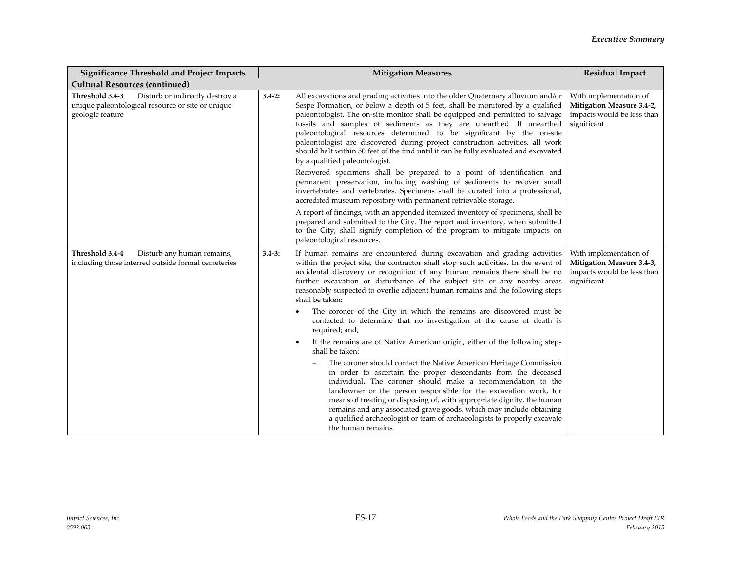| <b>Significance Threshold and Project Impacts</b>                                                                           |            | <b>Mitigation Measures</b>                                                                                                                                                                                                                                                                                                                                                                                                                                                                                                                                                                                        | <b>Residual Impact</b>                                                                                  |
|-----------------------------------------------------------------------------------------------------------------------------|------------|-------------------------------------------------------------------------------------------------------------------------------------------------------------------------------------------------------------------------------------------------------------------------------------------------------------------------------------------------------------------------------------------------------------------------------------------------------------------------------------------------------------------------------------------------------------------------------------------------------------------|---------------------------------------------------------------------------------------------------------|
| <b>Cultural Resources (continued)</b>                                                                                       |            |                                                                                                                                                                                                                                                                                                                                                                                                                                                                                                                                                                                                                   |                                                                                                         |
| Threshold 3.4-3<br>Disturb or indirectly destroy a<br>unique paleontological resource or site or unique<br>geologic feature | $3.4 - 2:$ | All excavations and grading activities into the older Quaternary alluvium and/or<br>Sespe Formation, or below a depth of 5 feet, shall be monitored by a qualified<br>paleontologist. The on-site monitor shall be equipped and permitted to salvage<br>fossils and samples of sediments as they are unearthed. If unearthed<br>paleontological resources determined to be significant by the on-site<br>paleontologist are discovered during project construction activities, all work<br>should halt within 50 feet of the find until it can be fully evaluated and excavated<br>by a qualified paleontologist. | With implementation of<br><b>Mitigation Measure 3.4-2,</b><br>impacts would be less than<br>significant |
|                                                                                                                             |            | Recovered specimens shall be prepared to a point of identification and<br>permanent preservation, including washing of sediments to recover small<br>invertebrates and vertebrates. Specimens shall be curated into a professional,<br>accredited museum repository with permanent retrievable storage.                                                                                                                                                                                                                                                                                                           |                                                                                                         |
|                                                                                                                             |            | A report of findings, with an appended itemized inventory of specimens, shall be<br>prepared and submitted to the City. The report and inventory, when submitted<br>to the City, shall signify completion of the program to mitigate impacts on<br>paleontological resources.                                                                                                                                                                                                                                                                                                                                     |                                                                                                         |
| Threshold 3.4-4<br>Disturb any human remains,<br>including those interred outside formal cemeteries                         | $3.4 - 3:$ | If human remains are encountered during excavation and grading activities<br>within the project site, the contractor shall stop such activities. In the event of<br>accidental discovery or recognition of any human remains there shall be no<br>further excavation or disturbance of the subject site or any nearby areas<br>reasonably suspected to overlie adjacent human remains and the following steps<br>shall be taken:                                                                                                                                                                                  | With implementation of<br>Mitigation Measure 3.4-3,<br>impacts would be less than<br>significant        |
|                                                                                                                             |            | The coroner of the City in which the remains are discovered must be<br>contacted to determine that no investigation of the cause of death is<br>required; and,                                                                                                                                                                                                                                                                                                                                                                                                                                                    |                                                                                                         |
|                                                                                                                             |            | If the remains are of Native American origin, either of the following steps<br>$\bullet$<br>shall be taken:                                                                                                                                                                                                                                                                                                                                                                                                                                                                                                       |                                                                                                         |
|                                                                                                                             |            | The coroner should contact the Native American Heritage Commission<br>in order to ascertain the proper descendants from the deceased<br>individual. The coroner should make a recommendation to the<br>landowner or the person responsible for the excavation work, for<br>means of treating or disposing of, with appropriate dignity, the human<br>remains and any associated grave goods, which may include obtaining<br>a qualified archaeologist or team of archaeologists to properly excavate<br>the human remains.                                                                                        |                                                                                                         |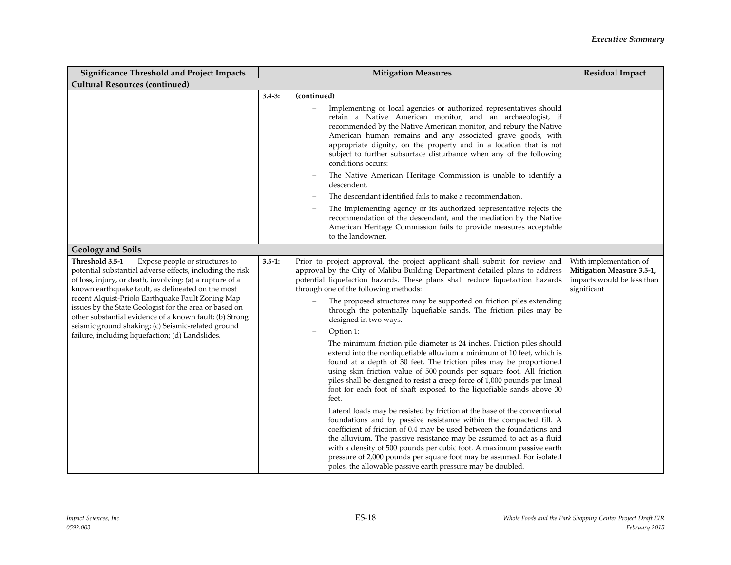| <b>Significance Threshold and Project Impacts</b>                                                                                                                                                                                                                                                                                                                                                                                                                                                                   | <b>Mitigation Measures</b>                                                                                                                                                                                                                                                                                                                                                                                                                                                                                                                                                                                                                                                                                                                                                                                                                                                                                                                                                                                                                                                                                                                                                                                                                                                                                                                                                                                                                                                           | <b>Residual Impact</b>                                                                           |
|---------------------------------------------------------------------------------------------------------------------------------------------------------------------------------------------------------------------------------------------------------------------------------------------------------------------------------------------------------------------------------------------------------------------------------------------------------------------------------------------------------------------|--------------------------------------------------------------------------------------------------------------------------------------------------------------------------------------------------------------------------------------------------------------------------------------------------------------------------------------------------------------------------------------------------------------------------------------------------------------------------------------------------------------------------------------------------------------------------------------------------------------------------------------------------------------------------------------------------------------------------------------------------------------------------------------------------------------------------------------------------------------------------------------------------------------------------------------------------------------------------------------------------------------------------------------------------------------------------------------------------------------------------------------------------------------------------------------------------------------------------------------------------------------------------------------------------------------------------------------------------------------------------------------------------------------------------------------------------------------------------------------|--------------------------------------------------------------------------------------------------|
| <b>Cultural Resources (continued)</b>                                                                                                                                                                                                                                                                                                                                                                                                                                                                               |                                                                                                                                                                                                                                                                                                                                                                                                                                                                                                                                                                                                                                                                                                                                                                                                                                                                                                                                                                                                                                                                                                                                                                                                                                                                                                                                                                                                                                                                                      |                                                                                                  |
|                                                                                                                                                                                                                                                                                                                                                                                                                                                                                                                     | $3.4 - 3:$<br>(continued)                                                                                                                                                                                                                                                                                                                                                                                                                                                                                                                                                                                                                                                                                                                                                                                                                                                                                                                                                                                                                                                                                                                                                                                                                                                                                                                                                                                                                                                            |                                                                                                  |
|                                                                                                                                                                                                                                                                                                                                                                                                                                                                                                                     | Implementing or local agencies or authorized representatives should<br>retain a Native American monitor, and an archaeologist, if<br>recommended by the Native American monitor, and rebury the Native<br>American human remains and any associated grave goods, with<br>appropriate dignity, on the property and in a location that is not<br>subject to further subsurface disturbance when any of the following<br>conditions occurs:                                                                                                                                                                                                                                                                                                                                                                                                                                                                                                                                                                                                                                                                                                                                                                                                                                                                                                                                                                                                                                             |                                                                                                  |
|                                                                                                                                                                                                                                                                                                                                                                                                                                                                                                                     | The Native American Heritage Commission is unable to identify a<br>descendent.                                                                                                                                                                                                                                                                                                                                                                                                                                                                                                                                                                                                                                                                                                                                                                                                                                                                                                                                                                                                                                                                                                                                                                                                                                                                                                                                                                                                       |                                                                                                  |
|                                                                                                                                                                                                                                                                                                                                                                                                                                                                                                                     | The descendant identified fails to make a recommendation.                                                                                                                                                                                                                                                                                                                                                                                                                                                                                                                                                                                                                                                                                                                                                                                                                                                                                                                                                                                                                                                                                                                                                                                                                                                                                                                                                                                                                            |                                                                                                  |
|                                                                                                                                                                                                                                                                                                                                                                                                                                                                                                                     | The implementing agency or its authorized representative rejects the<br>recommendation of the descendant, and the mediation by the Native<br>American Heritage Commission fails to provide measures acceptable<br>to the landowner.                                                                                                                                                                                                                                                                                                                                                                                                                                                                                                                                                                                                                                                                                                                                                                                                                                                                                                                                                                                                                                                                                                                                                                                                                                                  |                                                                                                  |
| <b>Geology and Soils</b>                                                                                                                                                                                                                                                                                                                                                                                                                                                                                            |                                                                                                                                                                                                                                                                                                                                                                                                                                                                                                                                                                                                                                                                                                                                                                                                                                                                                                                                                                                                                                                                                                                                                                                                                                                                                                                                                                                                                                                                                      |                                                                                                  |
| Threshold 3.5-1<br>Expose people or structures to<br>potential substantial adverse effects, including the risk<br>of loss, injury, or death, involving: (a) a rupture of a<br>known earthquake fault, as delineated on the most<br>recent Alquist-Priolo Earthquake Fault Zoning Map<br>issues by the State Geologist for the area or based on<br>other substantial evidence of a known fault; (b) Strong<br>seismic ground shaking; (c) Seismic-related ground<br>failure, including liquefaction; (d) Landslides. | Prior to project approval, the project applicant shall submit for review and<br>$3.5 - 1:$<br>approval by the City of Malibu Building Department detailed plans to address<br>potential liquefaction hazards. These plans shall reduce liquefaction hazards<br>through one of the following methods:<br>The proposed structures may be supported on friction piles extending<br>through the potentially liquefiable sands. The friction piles may be<br>designed in two ways.<br>Option 1:<br>The minimum friction pile diameter is 24 inches. Friction piles should<br>extend into the nonliquefiable alluvium a minimum of 10 feet, which is<br>found at a depth of 30 feet. The friction piles may be proportioned<br>using skin friction value of 500 pounds per square foot. All friction<br>piles shall be designed to resist a creep force of 1,000 pounds per lineal<br>foot for each foot of shaft exposed to the liquefiable sands above 30<br>feet.<br>Lateral loads may be resisted by friction at the base of the conventional<br>foundations and by passive resistance within the compacted fill. A<br>coefficient of friction of 0.4 may be used between the foundations and<br>the alluvium. The passive resistance may be assumed to act as a fluid<br>with a density of 500 pounds per cubic foot. A maximum passive earth<br>pressure of 2,000 pounds per square foot may be assumed. For isolated<br>poles, the allowable passive earth pressure may be doubled. | With implementation of<br>Mitigation Measure 3.5-1,<br>impacts would be less than<br>significant |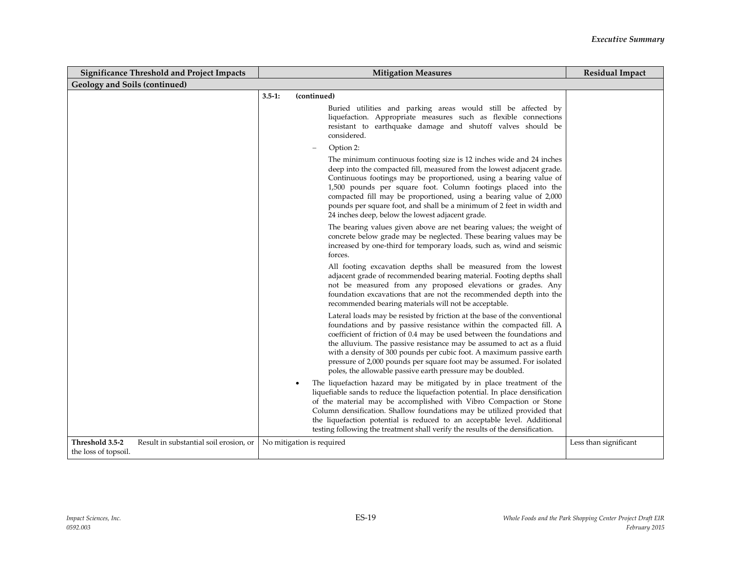| <b>Significance Threshold and Project Impacts</b>                                 | <b>Mitigation Measures</b><br><b>Residual Impact</b>                                                                                                                                                                                                                                                                                                                                                                                                                                                               |                       |  |
|-----------------------------------------------------------------------------------|--------------------------------------------------------------------------------------------------------------------------------------------------------------------------------------------------------------------------------------------------------------------------------------------------------------------------------------------------------------------------------------------------------------------------------------------------------------------------------------------------------------------|-----------------------|--|
| <b>Geology and Soils (continued)</b>                                              |                                                                                                                                                                                                                                                                                                                                                                                                                                                                                                                    |                       |  |
|                                                                                   | $3.5 - 1:$<br>(continued)<br>Buried utilities and parking areas would still be affected by<br>liquefaction. Appropriate measures such as flexible connections<br>resistant to earthquake damage and shutoff valves should be<br>considered.                                                                                                                                                                                                                                                                        |                       |  |
|                                                                                   | Option 2:<br>The minimum continuous footing size is 12 inches wide and 24 inches                                                                                                                                                                                                                                                                                                                                                                                                                                   |                       |  |
|                                                                                   | deep into the compacted fill, measured from the lowest adjacent grade.<br>Continuous footings may be proportioned, using a bearing value of<br>1,500 pounds per square foot. Column footings placed into the<br>compacted fill may be proportioned, using a bearing value of 2,000<br>pounds per square foot, and shall be a minimum of 2 feet in width and                                                                                                                                                        |                       |  |
|                                                                                   | 24 inches deep, below the lowest adjacent grade.<br>The bearing values given above are net bearing values; the weight of<br>concrete below grade may be neglected. These bearing values may be<br>increased by one-third for temporary loads, such as, wind and seismic<br>forces.                                                                                                                                                                                                                                 |                       |  |
|                                                                                   | All footing excavation depths shall be measured from the lowest<br>adjacent grade of recommended bearing material. Footing depths shall<br>not be measured from any proposed elevations or grades. Any<br>foundation excavations that are not the recommended depth into the<br>recommended bearing materials will not be acceptable.                                                                                                                                                                              |                       |  |
|                                                                                   | Lateral loads may be resisted by friction at the base of the conventional<br>foundations and by passive resistance within the compacted fill. A<br>coefficient of friction of 0.4 may be used between the foundations and<br>the alluvium. The passive resistance may be assumed to act as a fluid<br>with a density of 300 pounds per cubic foot. A maximum passive earth<br>pressure of 2,000 pounds per square foot may be assumed. For isolated<br>poles, the allowable passive earth pressure may be doubled. |                       |  |
|                                                                                   | The liquefaction hazard may be mitigated by in place treatment of the<br>liquefiable sands to reduce the liquefaction potential. In place densification<br>of the material may be accomplished with Vibro Compaction or Stone<br>Column densification. Shallow foundations may be utilized provided that<br>the liquefaction potential is reduced to an acceptable level. Additional<br>testing following the treatment shall verify the results of the densification.                                             |                       |  |
| Threshold 3.5-2<br>Result in substantial soil erosion, or<br>the loss of topsoil. | No mitigation is required                                                                                                                                                                                                                                                                                                                                                                                                                                                                                          | Less than significant |  |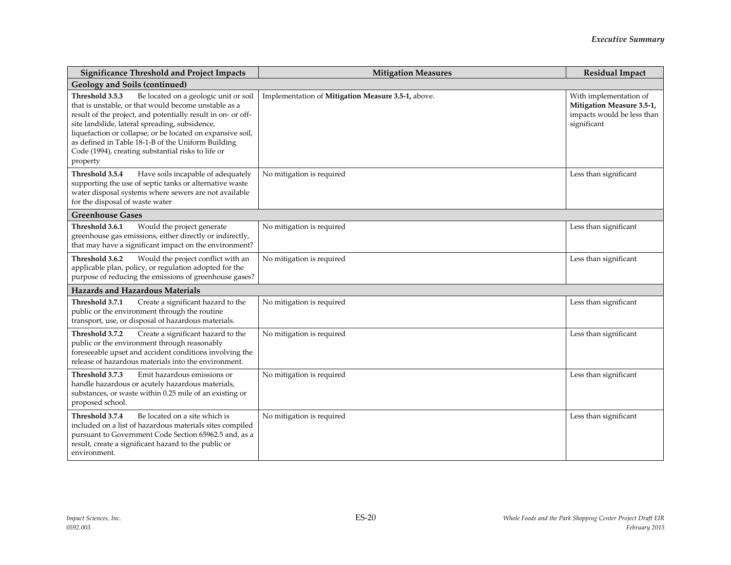| <b>Significance Threshold and Project Impacts</b>                                                                                                                                                                                                                                                                                                                                                                        | <b>Mitigation Measures</b>                         | <b>Residual Impact</b>                                                                           |
|--------------------------------------------------------------------------------------------------------------------------------------------------------------------------------------------------------------------------------------------------------------------------------------------------------------------------------------------------------------------------------------------------------------------------|----------------------------------------------------|--------------------------------------------------------------------------------------------------|
| <b>Geology and Soils (continued)</b>                                                                                                                                                                                                                                                                                                                                                                                     |                                                    |                                                                                                  |
| Threshold 3.5.3<br>Be located on a geologic unit or soil<br>that is unstable, or that would become unstable as a<br>result of the project, and potentially result in on- or off-<br>site landslide, lateral spreading, subsidence,<br>liquefaction or collapse; or be located on expansive soil,<br>as defined in Table 18-1-B of the Uniform Building<br>Code (1994), creating substantial risks to life or<br>property | Implementation of Mitigation Measure 3.5-1, above. | With implementation of<br>Mitigation Measure 3.5-1,<br>impacts would be less than<br>significant |
| Threshold 3.5.4<br>Have soils incapable of adequately<br>supporting the use of septic tanks or alternative waste<br>water disposal systems where sewers are not available<br>for the disposal of waste water                                                                                                                                                                                                             | No mitigation is required                          | Less than significant                                                                            |
| <b>Greenhouse Gases</b>                                                                                                                                                                                                                                                                                                                                                                                                  |                                                    |                                                                                                  |
| Would the project generate<br>Threshold 3.6.1<br>greenhouse gas emissions, either directly or indirectly,<br>that may have a significant impact on the environment?                                                                                                                                                                                                                                                      | No mitigation is required                          | Less than significant                                                                            |
| Threshold 3.6.2<br>Would the project conflict with an<br>applicable plan, policy, or regulation adopted for the<br>purpose of reducing the emissions of greenhouse gases?                                                                                                                                                                                                                                                | No mitigation is required                          | Less than significant                                                                            |
| <b>Hazards and Hazardous Materials</b>                                                                                                                                                                                                                                                                                                                                                                                   |                                                    |                                                                                                  |
| Threshold 3.7.1<br>Create a significant hazard to the<br>public or the environment through the routine<br>transport, use, or disposal of hazardous materials.                                                                                                                                                                                                                                                            | No mitigation is required                          | Less than significant                                                                            |
| Threshold 3.7.2<br>Create a significant hazard to the<br>public or the environment through reasonably<br>foreseeable upset and accident conditions involving the<br>release of hazardous materials into the environment.                                                                                                                                                                                                 | No mitigation is required                          | Less than significant                                                                            |
| Emit hazardous emissions or<br>Threshold 3.7.3<br>handle hazardous or acutely hazardous materials,<br>substances, or waste within 0.25 mile of an existing or<br>proposed school.                                                                                                                                                                                                                                        | No mitigation is required                          | Less than significant                                                                            |
| Threshold 3.7.4<br>Be located on a site which is<br>included on a list of hazardous materials sites compiled<br>pursuant to Government Code Section 65962.5 and, as a<br>result, create a significant hazard to the public or<br>environment.                                                                                                                                                                            | No mitigation is required                          | Less than significant                                                                            |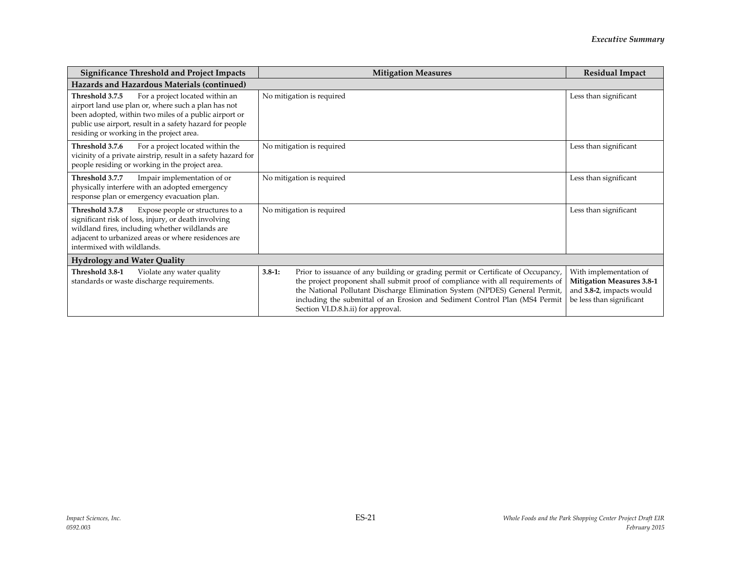| <b>Significance Threshold and Project Impacts</b>                                                                                                                                                                                                                          | <b>Mitigation Measures</b>                                                                                                                                                                                                                                                                                                                                                            | <b>Residual Impact</b>                                                                                             |  |
|----------------------------------------------------------------------------------------------------------------------------------------------------------------------------------------------------------------------------------------------------------------------------|---------------------------------------------------------------------------------------------------------------------------------------------------------------------------------------------------------------------------------------------------------------------------------------------------------------------------------------------------------------------------------------|--------------------------------------------------------------------------------------------------------------------|--|
| Hazards and Hazardous Materials (continued)                                                                                                                                                                                                                                |                                                                                                                                                                                                                                                                                                                                                                                       |                                                                                                                    |  |
| For a project located within an<br>Threshold 3.7.5<br>airport land use plan or, where such a plan has not<br>been adopted, within two miles of a public airport or<br>public use airport, result in a safety hazard for people<br>residing or working in the project area. | No mitigation is required                                                                                                                                                                                                                                                                                                                                                             | Less than significant                                                                                              |  |
| Threshold 3.7.6<br>For a project located within the<br>vicinity of a private airstrip, result in a safety hazard for<br>people residing or working in the project area.                                                                                                    | No mitigation is required                                                                                                                                                                                                                                                                                                                                                             | Less than significant                                                                                              |  |
| Threshold 3.7.7<br>Impair implementation of or<br>physically interfere with an adopted emergency<br>response plan or emergency evacuation plan.                                                                                                                            | No mitigation is required                                                                                                                                                                                                                                                                                                                                                             | Less than significant                                                                                              |  |
| Threshold 3.7.8<br>Expose people or structures to a<br>significant risk of loss, injury, or death involving<br>wildland fires, including whether wildlands are<br>adjacent to urbanized areas or where residences are<br>intermixed with wildlands.                        | No mitigation is required                                                                                                                                                                                                                                                                                                                                                             | Less than significant                                                                                              |  |
| <b>Hydrology and Water Quality</b>                                                                                                                                                                                                                                         |                                                                                                                                                                                                                                                                                                                                                                                       |                                                                                                                    |  |
| Threshold 3.8-1<br>Violate any water quality<br>standards or waste discharge requirements.                                                                                                                                                                                 | Prior to issuance of any building or grading permit or Certificate of Occupancy,<br>$3.8 - 1:$<br>the project proponent shall submit proof of compliance with all requirements of<br>the National Pollutant Discharge Elimination System (NPDES) General Permit,<br>including the submittal of an Erosion and Sediment Control Plan (MS4 Permit<br>Section VI.D.8.h.ii) for approval. | With implementation of<br><b>Mitigation Measures 3.8-1</b><br>and 3.8-2, impacts would<br>be less than significant |  |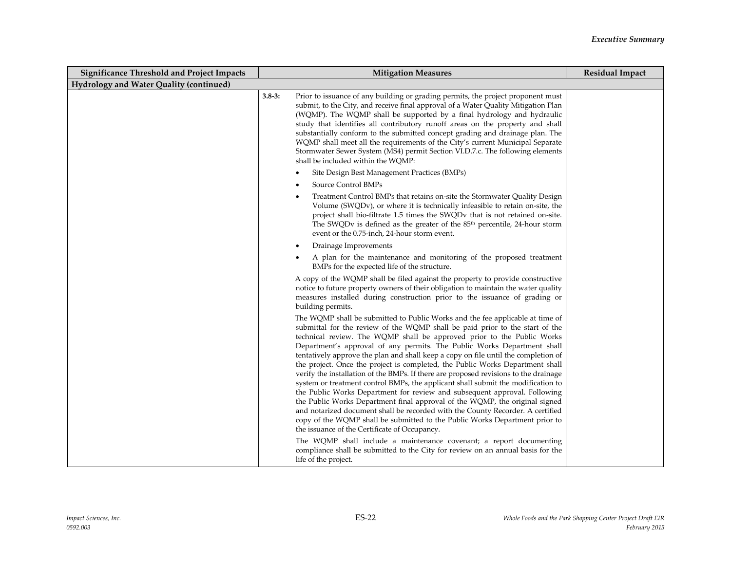| <b>Significance Threshold and Project Impacts</b> | <b>Mitigation Measures</b>                                                                                                                                                                                                                                                                                                                                                                                                                                                                                                                                                                                                                                                                                                                                                                                                                                                                                                                                                                                                                          | <b>Residual Impact</b> |
|---------------------------------------------------|-----------------------------------------------------------------------------------------------------------------------------------------------------------------------------------------------------------------------------------------------------------------------------------------------------------------------------------------------------------------------------------------------------------------------------------------------------------------------------------------------------------------------------------------------------------------------------------------------------------------------------------------------------------------------------------------------------------------------------------------------------------------------------------------------------------------------------------------------------------------------------------------------------------------------------------------------------------------------------------------------------------------------------------------------------|------------------------|
| Hydrology and Water Quality (continued)           |                                                                                                                                                                                                                                                                                                                                                                                                                                                                                                                                                                                                                                                                                                                                                                                                                                                                                                                                                                                                                                                     |                        |
|                                                   | Prior to issuance of any building or grading permits, the project proponent must<br>$3.8 - 3:$<br>submit, to the City, and receive final approval of a Water Quality Mitigation Plan<br>(WQMP). The WQMP shall be supported by a final hydrology and hydraulic<br>study that identifies all contributory runoff areas on the property and shall<br>substantially conform to the submitted concept grading and drainage plan. The<br>WQMP shall meet all the requirements of the City's current Municipal Separate<br>Stormwater Sewer System (MS4) permit Section VI.D.7.c. The following elements<br>shall be included within the WOMP:                                                                                                                                                                                                                                                                                                                                                                                                            |                        |
|                                                   | Site Design Best Management Practices (BMPs)                                                                                                                                                                                                                                                                                                                                                                                                                                                                                                                                                                                                                                                                                                                                                                                                                                                                                                                                                                                                        |                        |
|                                                   | Source Control BMPs                                                                                                                                                                                                                                                                                                                                                                                                                                                                                                                                                                                                                                                                                                                                                                                                                                                                                                                                                                                                                                 |                        |
|                                                   | Treatment Control BMPs that retains on-site the Stormwater Quality Design<br>Volume (SWQDv), or where it is technically infeasible to retain on-site, the<br>project shall bio-filtrate 1.5 times the SWQDv that is not retained on-site.<br>The SWQDv is defined as the greater of the $85th$ percentile, 24-hour storm<br>event or the 0.75-inch, 24-hour storm event.                                                                                                                                                                                                                                                                                                                                                                                                                                                                                                                                                                                                                                                                            |                        |
|                                                   | Drainage Improvements                                                                                                                                                                                                                                                                                                                                                                                                                                                                                                                                                                                                                                                                                                                                                                                                                                                                                                                                                                                                                               |                        |
|                                                   | A plan for the maintenance and monitoring of the proposed treatment<br>BMPs for the expected life of the structure.                                                                                                                                                                                                                                                                                                                                                                                                                                                                                                                                                                                                                                                                                                                                                                                                                                                                                                                                 |                        |
|                                                   | A copy of the WQMP shall be filed against the property to provide constructive<br>notice to future property owners of their obligation to maintain the water quality<br>measures installed during construction prior to the issuance of grading or<br>building permits.                                                                                                                                                                                                                                                                                                                                                                                                                                                                                                                                                                                                                                                                                                                                                                             |                        |
|                                                   | The WQMP shall be submitted to Public Works and the fee applicable at time of<br>submittal for the review of the WQMP shall be paid prior to the start of the<br>technical review. The WQMP shall be approved prior to the Public Works<br>Department's approval of any permits. The Public Works Department shall<br>tentatively approve the plan and shall keep a copy on file until the completion of<br>the project. Once the project is completed, the Public Works Department shall<br>verify the installation of the BMPs. If there are proposed revisions to the drainage<br>system or treatment control BMPs, the applicant shall submit the modification to<br>the Public Works Department for review and subsequent approval. Following<br>the Public Works Department final approval of the WQMP, the original signed<br>and notarized document shall be recorded with the County Recorder. A certified<br>copy of the WQMP shall be submitted to the Public Works Department prior to<br>the issuance of the Certificate of Occupancy. |                        |
|                                                   | The WQMP shall include a maintenance covenant; a report documenting<br>compliance shall be submitted to the City for review on an annual basis for the<br>life of the project.                                                                                                                                                                                                                                                                                                                                                                                                                                                                                                                                                                                                                                                                                                                                                                                                                                                                      |                        |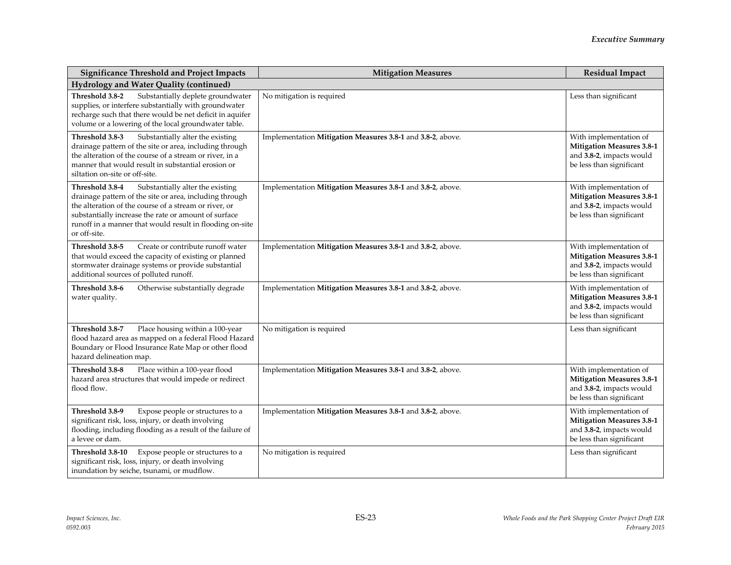| <b>Significance Threshold and Project Impacts</b>                                                                                                                                                                                                                                                           | <b>Mitigation Measures</b>                                 | <b>Residual Impact</b>                                                                                             |
|-------------------------------------------------------------------------------------------------------------------------------------------------------------------------------------------------------------------------------------------------------------------------------------------------------------|------------------------------------------------------------|--------------------------------------------------------------------------------------------------------------------|
| Hydrology and Water Quality (continued)                                                                                                                                                                                                                                                                     |                                                            |                                                                                                                    |
| Substantially deplete groundwater<br>Threshold 3.8-2<br>supplies, or interfere substantially with groundwater<br>recharge such that there would be net deficit in aquifer<br>volume or a lowering of the local groundwater table.                                                                           | No mitigation is required                                  | Less than significant                                                                                              |
| Threshold 3.8-3<br>Substantially alter the existing<br>drainage pattern of the site or area, including through<br>the alteration of the course of a stream or river, in a<br>manner that would result in substantial erosion or<br>siltation on-site or off-site.                                           | Implementation Mitigation Measures 3.8-1 and 3.8-2, above. | With implementation of<br><b>Mitigation Measures 3.8-1</b><br>and 3.8-2, impacts would<br>be less than significant |
| Threshold 3.8-4<br>Substantially alter the existing<br>drainage pattern of the site or area, including through<br>the alteration of the course of a stream or river, or<br>substantially increase the rate or amount of surface<br>runoff in a manner that would result in flooding on-site<br>or off-site. | Implementation Mitigation Measures 3.8-1 and 3.8-2, above. | With implementation of<br><b>Mitigation Measures 3.8-1</b><br>and 3.8-2, impacts would<br>be less than significant |
| Threshold 3.8-5<br>Create or contribute runoff water<br>that would exceed the capacity of existing or planned<br>stormwater drainage systems or provide substantial<br>additional sources of polluted runoff.                                                                                               | Implementation Mitigation Measures 3.8-1 and 3.8-2, above. | With implementation of<br><b>Mitigation Measures 3.8-1</b><br>and 3.8-2, impacts would<br>be less than significant |
| Threshold 3.8-6<br>Otherwise substantially degrade<br>water quality.                                                                                                                                                                                                                                        | Implementation Mitigation Measures 3.8-1 and 3.8-2, above. | With implementation of<br><b>Mitigation Measures 3.8-1</b><br>and 3.8-2, impacts would<br>be less than significant |
| Threshold 3.8-7<br>Place housing within a 100-year<br>flood hazard area as mapped on a federal Flood Hazard<br>Boundary or Flood Insurance Rate Map or other flood<br>hazard delineation map.                                                                                                               | No mitigation is required                                  | Less than significant                                                                                              |
| Threshold 3.8-8<br>Place within a 100-year flood<br>hazard area structures that would impede or redirect<br>flood flow.                                                                                                                                                                                     | Implementation Mitigation Measures 3.8-1 and 3.8-2, above. | With implementation of<br><b>Mitigation Measures 3.8-1</b><br>and 3.8-2, impacts would<br>be less than significant |
| Threshold 3.8-9<br>Expose people or structures to a<br>significant risk, loss, injury, or death involving<br>flooding, including flooding as a result of the failure of<br>a levee or dam.                                                                                                                  | Implementation Mitigation Measures 3.8-1 and 3.8-2, above. | With implementation of<br><b>Mitigation Measures 3.8-1</b><br>and 3.8-2, impacts would<br>be less than significant |
| Threshold 3.8-10<br>Expose people or structures to a<br>significant risk, loss, injury, or death involving<br>inundation by seiche, tsunami, or mudflow.                                                                                                                                                    | No mitigation is required                                  | Less than significant                                                                                              |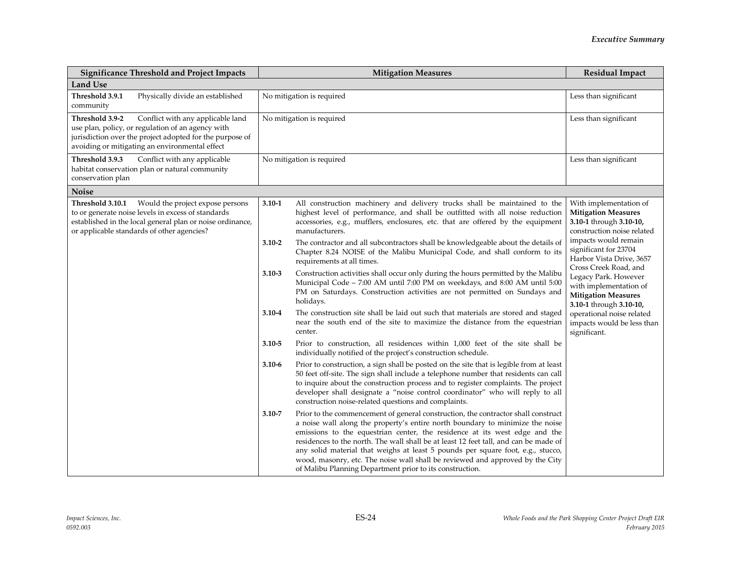| <b>Significance Threshold and Project Impacts</b>                                                                                                                                                                       | <b>Mitigation Measures</b>                                                                                                                                                                                                                                                                                                                                                                                                                                                                                                                                                             | <b>Residual Impact</b>                                                                                                                |
|-------------------------------------------------------------------------------------------------------------------------------------------------------------------------------------------------------------------------|----------------------------------------------------------------------------------------------------------------------------------------------------------------------------------------------------------------------------------------------------------------------------------------------------------------------------------------------------------------------------------------------------------------------------------------------------------------------------------------------------------------------------------------------------------------------------------------|---------------------------------------------------------------------------------------------------------------------------------------|
| Land Use                                                                                                                                                                                                                |                                                                                                                                                                                                                                                                                                                                                                                                                                                                                                                                                                                        |                                                                                                                                       |
| Physically divide an established<br>Threshold 3.9.1<br>community                                                                                                                                                        | No mitigation is required                                                                                                                                                                                                                                                                                                                                                                                                                                                                                                                                                              | Less than significant                                                                                                                 |
| Threshold 3.9-2<br>Conflict with any applicable land<br>use plan, policy, or regulation of an agency with<br>jurisdiction over the project adopted for the purpose of<br>avoiding or mitigating an environmental effect | No mitigation is required                                                                                                                                                                                                                                                                                                                                                                                                                                                                                                                                                              | Less than significant                                                                                                                 |
| Threshold 3.9.3<br>Conflict with any applicable<br>habitat conservation plan or natural community<br>conservation plan                                                                                                  | No mitigation is required                                                                                                                                                                                                                                                                                                                                                                                                                                                                                                                                                              | Less than significant                                                                                                                 |
| <b>Noise</b>                                                                                                                                                                                                            |                                                                                                                                                                                                                                                                                                                                                                                                                                                                                                                                                                                        |                                                                                                                                       |
| Threshold 3.10.1<br>Would the project expose persons<br>to or generate noise levels in excess of standards<br>established in the local general plan or noise ordinance,<br>or applicable standards of other agencies?   | All construction machinery and delivery trucks shall be maintained to the<br>3.10-1<br>highest level of performance, and shall be outfitted with all noise reduction<br>accessories, e.g., mufflers, enclosures, etc. that are offered by the equipment<br>manufacturers.<br>The contractor and all subcontractors shall be knowledgeable about the details of<br>$3.10 - 2$                                                                                                                                                                                                           | With implementation of<br><b>Mitigation Measures</b><br>3.10-1 through 3.10-10,<br>construction noise related<br>impacts would remain |
|                                                                                                                                                                                                                         | Chapter 8.24 NOISE of the Malibu Municipal Code, and shall conform to its<br>requirements at all times.                                                                                                                                                                                                                                                                                                                                                                                                                                                                                | significant for 23704<br>Harbor Vista Drive, 3657<br>Cross Creek Road, and                                                            |
|                                                                                                                                                                                                                         | Construction activities shall occur only during the hours permitted by the Malibu<br>$3.10 - 3$<br>Municipal Code - 7:00 AM until 7:00 PM on weekdays, and 8:00 AM until 5:00<br>PM on Saturdays. Construction activities are not permitted on Sundays and<br>holidays.                                                                                                                                                                                                                                                                                                                | Legacy Park. However<br>with implementation of<br><b>Mitigation Measures</b><br>3.10-1 through 3.10-10,                               |
|                                                                                                                                                                                                                         | The construction site shall be laid out such that materials are stored and staged<br>3.10-4<br>near the south end of the site to maximize the distance from the equestrian<br>center.                                                                                                                                                                                                                                                                                                                                                                                                  | operational noise related<br>impacts would be less than<br>significant.                                                               |
|                                                                                                                                                                                                                         | $3.10 - 5$<br>Prior to construction, all residences within 1,000 feet of the site shall be<br>individually notified of the project's construction schedule.                                                                                                                                                                                                                                                                                                                                                                                                                            |                                                                                                                                       |
|                                                                                                                                                                                                                         | Prior to construction, a sign shall be posted on the site that is legible from at least<br>$3.10 - 6$<br>50 feet off-site. The sign shall include a telephone number that residents can call<br>to inquire about the construction process and to register complaints. The project<br>developer shall designate a "noise control coordinator" who will reply to all<br>construction noise-related questions and complaints.                                                                                                                                                             |                                                                                                                                       |
|                                                                                                                                                                                                                         | Prior to the commencement of general construction, the contractor shall construct<br>$3.10 - 7$<br>a noise wall along the property's entire north boundary to minimize the noise<br>emissions to the equestrian center, the residence at its west edge and the<br>residences to the north. The wall shall be at least 12 feet tall, and can be made of<br>any solid material that weighs at least 5 pounds per square foot, e.g., stucco,<br>wood, masonry, etc. The noise wall shall be reviewed and approved by the City<br>of Malibu Planning Department prior to its construction. |                                                                                                                                       |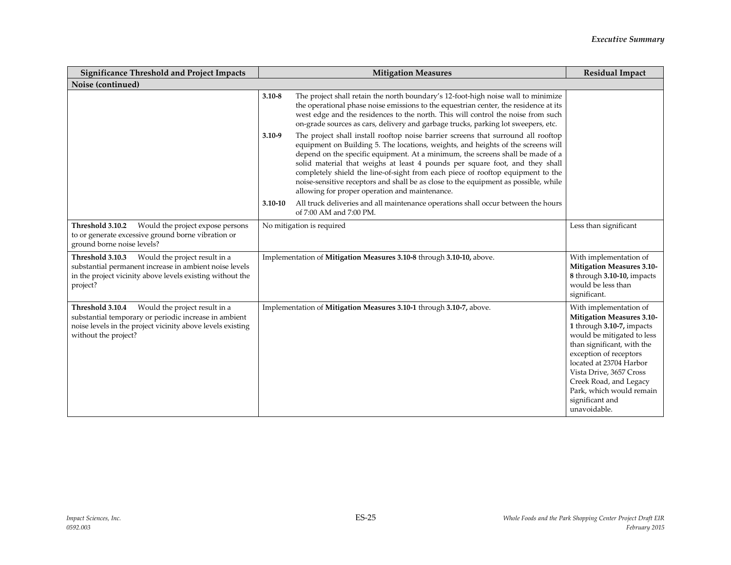| <b>Significance Threshold and Project Impacts</b>                                                                                                                                                | <b>Mitigation Measures</b> |                                                                                                                                                                                                                                                                                                                                                                                                                                                                                                                                                                     | <b>Residual Impact</b>                                                                                                                                                                                                                                                                                                       |
|--------------------------------------------------------------------------------------------------------------------------------------------------------------------------------------------------|----------------------------|---------------------------------------------------------------------------------------------------------------------------------------------------------------------------------------------------------------------------------------------------------------------------------------------------------------------------------------------------------------------------------------------------------------------------------------------------------------------------------------------------------------------------------------------------------------------|------------------------------------------------------------------------------------------------------------------------------------------------------------------------------------------------------------------------------------------------------------------------------------------------------------------------------|
| Noise (continued)                                                                                                                                                                                |                            |                                                                                                                                                                                                                                                                                                                                                                                                                                                                                                                                                                     |                                                                                                                                                                                                                                                                                                                              |
|                                                                                                                                                                                                  | $3.10 - 8$                 | The project shall retain the north boundary's 12-foot-high noise wall to minimize<br>the operational phase noise emissions to the equestrian center, the residence at its<br>west edge and the residences to the north. This will control the noise from such<br>on-grade sources as cars, delivery and garbage trucks, parking lot sweepers, etc.                                                                                                                                                                                                                  |                                                                                                                                                                                                                                                                                                                              |
|                                                                                                                                                                                                  | $3.10 - 9$                 | The project shall install rooftop noise barrier screens that surround all rooftop<br>equipment on Building 5. The locations, weights, and heights of the screens will<br>depend on the specific equipment. At a minimum, the screens shall be made of a<br>solid material that weighs at least 4 pounds per square foot, and they shall<br>completely shield the line-of-sight from each piece of rooftop equipment to the<br>noise-sensitive receptors and shall be as close to the equipment as possible, while<br>allowing for proper operation and maintenance. |                                                                                                                                                                                                                                                                                                                              |
|                                                                                                                                                                                                  | $3.10 - 10$                | All truck deliveries and all maintenance operations shall occur between the hours<br>of 7:00 AM and 7:00 PM.                                                                                                                                                                                                                                                                                                                                                                                                                                                        |                                                                                                                                                                                                                                                                                                                              |
| Threshold 3.10.2<br>Would the project expose persons<br>to or generate excessive ground borne vibration or<br>ground borne noise levels?                                                         |                            | No mitigation is required                                                                                                                                                                                                                                                                                                                                                                                                                                                                                                                                           | Less than significant                                                                                                                                                                                                                                                                                                        |
| Would the project result in a<br>Threshold 3.10.3<br>substantial permanent increase in ambient noise levels<br>in the project vicinity above levels existing without the<br>project?             |                            | Implementation of Mitigation Measures 3.10-8 through 3.10-10, above.                                                                                                                                                                                                                                                                                                                                                                                                                                                                                                | With implementation of<br>Mitigation Measures 3.10-<br>8 through 3.10-10, impacts<br>would be less than<br>significant.                                                                                                                                                                                                      |
| Would the project result in a<br>Threshold 3.10.4<br>substantial temporary or periodic increase in ambient<br>noise levels in the project vicinity above levels existing<br>without the project? |                            | Implementation of Mitigation Measures 3.10-1 through 3.10-7, above.                                                                                                                                                                                                                                                                                                                                                                                                                                                                                                 | With implementation of<br><b>Mitigation Measures 3.10-</b><br>1 through 3.10-7, impacts<br>would be mitigated to less<br>than significant, with the<br>exception of receptors<br>located at 23704 Harbor<br>Vista Drive, 3657 Cross<br>Creek Road, and Legacy<br>Park, which would remain<br>significant and<br>unavoidable. |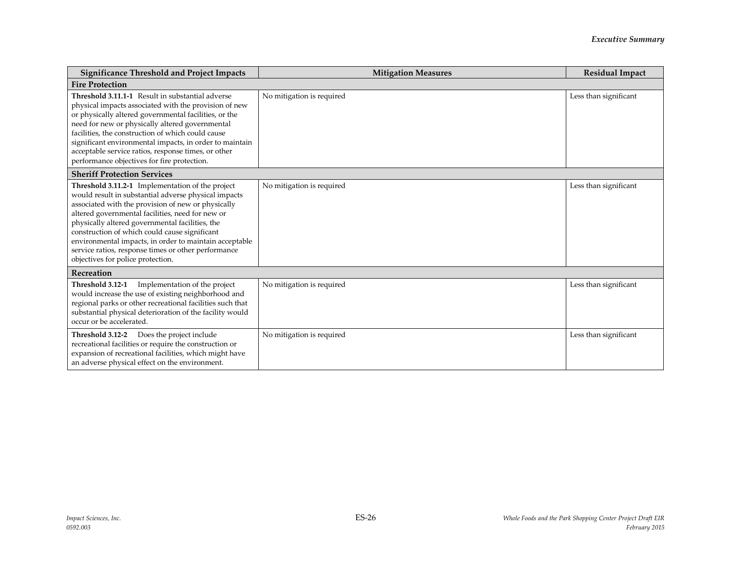| <b>Significance Threshold and Project Impacts</b>                                                                                                                                                                                                                                                                                                                                                                                                                            | <b>Mitigation Measures</b> | <b>Residual Impact</b> |  |
|------------------------------------------------------------------------------------------------------------------------------------------------------------------------------------------------------------------------------------------------------------------------------------------------------------------------------------------------------------------------------------------------------------------------------------------------------------------------------|----------------------------|------------------------|--|
| <b>Fire Protection</b>                                                                                                                                                                                                                                                                                                                                                                                                                                                       |                            |                        |  |
| Threshold 3.11.1-1 Result in substantial adverse<br>physical impacts associated with the provision of new<br>or physically altered governmental facilities, or the<br>need for new or physically altered governmental<br>facilities, the construction of which could cause<br>significant environmental impacts, in order to maintain<br>acceptable service ratios, response times, or other<br>performance objectives for fire protection.                                  | No mitigation is required  | Less than significant  |  |
| <b>Sheriff Protection Services</b>                                                                                                                                                                                                                                                                                                                                                                                                                                           |                            |                        |  |
| Threshold 3.11.2-1 Implementation of the project<br>would result in substantial adverse physical impacts<br>associated with the provision of new or physically<br>altered governmental facilities, need for new or<br>physically altered governmental facilities, the<br>construction of which could cause significant<br>environmental impacts, in order to maintain acceptable<br>service ratios, response times or other performance<br>objectives for police protection. | No mitigation is required  | Less than significant  |  |
| Recreation                                                                                                                                                                                                                                                                                                                                                                                                                                                                   |                            |                        |  |
| Implementation of the project<br>Threshold 3.12-1<br>would increase the use of existing neighborhood and<br>regional parks or other recreational facilities such that<br>substantial physical deterioration of the facility would<br>occur or be accelerated.                                                                                                                                                                                                                | No mitigation is required  | Less than significant  |  |
| Does the project include<br>Threshold 3.12-2<br>recreational facilities or require the construction or<br>expansion of recreational facilities, which might have<br>an adverse physical effect on the environment.                                                                                                                                                                                                                                                           | No mitigation is required  | Less than significant  |  |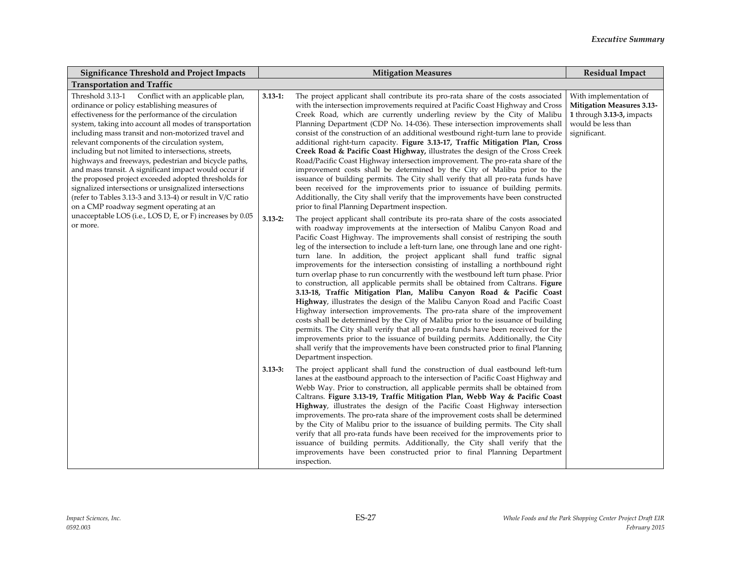| <b>Significance Threshold and Project Impacts</b>                                                                                                                                                                                                                                                                                                                                                                                                                                                                                                                                                                                                                                                                                                                                                            | <b>Mitigation Measures</b>                                                                                                                                                                                                                                                                                                                                                                                                                                                                                                                                                                                                                                                                                                                                                                                                                                                                                                                                                                                                                                                                                                                                                                                                                                                                           | <b>Residual Impact</b>                                                                                                        |
|--------------------------------------------------------------------------------------------------------------------------------------------------------------------------------------------------------------------------------------------------------------------------------------------------------------------------------------------------------------------------------------------------------------------------------------------------------------------------------------------------------------------------------------------------------------------------------------------------------------------------------------------------------------------------------------------------------------------------------------------------------------------------------------------------------------|------------------------------------------------------------------------------------------------------------------------------------------------------------------------------------------------------------------------------------------------------------------------------------------------------------------------------------------------------------------------------------------------------------------------------------------------------------------------------------------------------------------------------------------------------------------------------------------------------------------------------------------------------------------------------------------------------------------------------------------------------------------------------------------------------------------------------------------------------------------------------------------------------------------------------------------------------------------------------------------------------------------------------------------------------------------------------------------------------------------------------------------------------------------------------------------------------------------------------------------------------------------------------------------------------|-------------------------------------------------------------------------------------------------------------------------------|
| <b>Transportation and Traffic</b>                                                                                                                                                                                                                                                                                                                                                                                                                                                                                                                                                                                                                                                                                                                                                                            |                                                                                                                                                                                                                                                                                                                                                                                                                                                                                                                                                                                                                                                                                                                                                                                                                                                                                                                                                                                                                                                                                                                                                                                                                                                                                                      |                                                                                                                               |
| Threshold 3.13-1 Conflict with an applicable plan,<br>ordinance or policy establishing measures of<br>effectiveness for the performance of the circulation<br>system, taking into account all modes of transportation<br>including mass transit and non-motorized travel and<br>relevant components of the circulation system,<br>including but not limited to intersections, streets,<br>highways and freeways, pedestrian and bicycle paths,<br>and mass transit. A significant impact would occur if<br>the proposed project exceeded adopted thresholds for<br>signalized intersections or unsignalized intersections<br>(refer to Tables 3.13-3 and 3.13-4) or result in V/C ratio<br>on a CMP roadway segment operating at an<br>unacceptable LOS (i.e., LOS D, E, or F) increases by 0.05<br>or more. | The project applicant shall contribute its pro-rata share of the costs associated<br>$3.13 - 1:$<br>with the intersection improvements required at Pacific Coast Highway and Cross<br>Creek Road, which are currently underling review by the City of Malibu<br>Planning Department (CDP No. 14-036). These intersection improvements shall<br>consist of the construction of an additional westbound right-turn lane to provide<br>additional right-turn capacity. Figure 3.13-17, Traffic Mitigation Plan, Cross<br>Creek Road & Pacific Coast Highway, illustrates the design of the Cross Creek<br>Road/Pacific Coast Highway intersection improvement. The pro-rata share of the<br>improvement costs shall be determined by the City of Malibu prior to the<br>issuance of building permits. The City shall verify that all pro-rata funds have<br>been received for the improvements prior to issuance of building permits.<br>Additionally, the City shall verify that the improvements have been constructed<br>prior to final Planning Department inspection.                                                                                                                                                                                                                              | With implementation of<br><b>Mitigation Measures 3.13-</b><br>1 through 3.13-3, impacts<br>would be less than<br>significant. |
|                                                                                                                                                                                                                                                                                                                                                                                                                                                                                                                                                                                                                                                                                                                                                                                                              | $3.13 - 2:$<br>The project applicant shall contribute its pro-rata share of the costs associated<br>with roadway improvements at the intersection of Malibu Canyon Road and<br>Pacific Coast Highway. The improvements shall consist of restriping the south<br>leg of the intersection to include a left-turn lane, one through lane and one right-<br>turn lane. In addition, the project applicant shall fund traffic signal<br>improvements for the intersection consisting of installing a northbound right<br>turn overlap phase to run concurrently with the westbound left turn phase. Prior<br>to construction, all applicable permits shall be obtained from Caltrans. Figure<br>3.13-18, Traffic Mitigation Plan, Malibu Canyon Road & Pacific Coast<br>Highway, illustrates the design of the Malibu Canyon Road and Pacific Coast<br>Highway intersection improvements. The pro-rata share of the improvement<br>costs shall be determined by the City of Malibu prior to the issuance of building<br>permits. The City shall verify that all pro-rata funds have been received for the<br>improvements prior to the issuance of building permits. Additionally, the City<br>shall verify that the improvements have been constructed prior to final Planning<br>Department inspection. |                                                                                                                               |
|                                                                                                                                                                                                                                                                                                                                                                                                                                                                                                                                                                                                                                                                                                                                                                                                              | The project applicant shall fund the construction of dual eastbound left-turn<br>$3.13 - 3:$<br>lanes at the eastbound approach to the intersection of Pacific Coast Highway and<br>Webb Way. Prior to construction, all applicable permits shall be obtained from<br>Caltrans. Figure 3.13-19, Traffic Mitigation Plan, Webb Way & Pacific Coast<br>Highway, illustrates the design of the Pacific Coast Highway intersection<br>improvements. The pro-rata share of the improvement costs shall be determined<br>by the City of Malibu prior to the issuance of building permits. The City shall<br>verify that all pro-rata funds have been received for the improvements prior to<br>issuance of building permits. Additionally, the City shall verify that the<br>improvements have been constructed prior to final Planning Department<br>inspection.                                                                                                                                                                                                                                                                                                                                                                                                                                          |                                                                                                                               |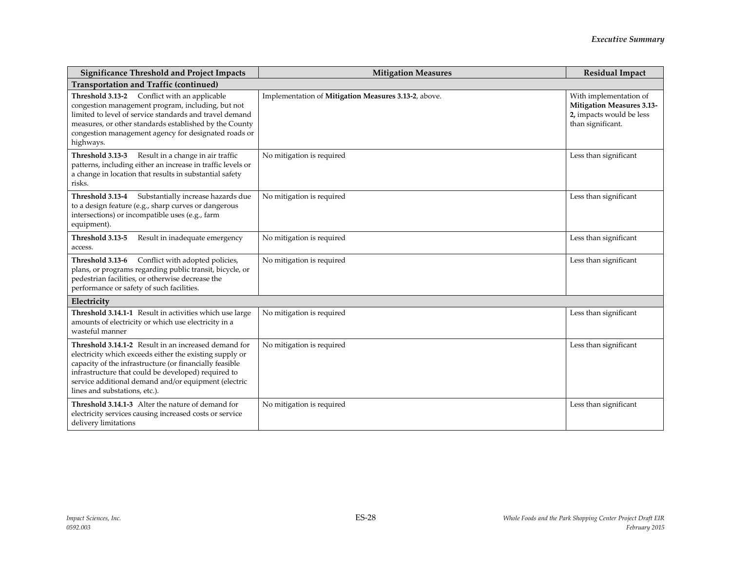| <b>Significance Threshold and Project Impacts</b>                                                                                                                                                                                                                                                                          | <b>Mitigation Measures</b>                           | <b>Residual Impact</b>                                                                                      |  |
|----------------------------------------------------------------------------------------------------------------------------------------------------------------------------------------------------------------------------------------------------------------------------------------------------------------------------|------------------------------------------------------|-------------------------------------------------------------------------------------------------------------|--|
| <b>Transportation and Traffic (continued)</b>                                                                                                                                                                                                                                                                              |                                                      |                                                                                                             |  |
| Threshold 3.13-2 Conflict with an applicable<br>congestion management program, including, but not<br>limited to level of service standards and travel demand<br>measures, or other standards established by the County<br>congestion management agency for designated roads or<br>highways.                                | Implementation of Mitigation Measures 3.13-2, above. | With implementation of<br><b>Mitigation Measures 3.13-</b><br>2, impacts would be less<br>than significant. |  |
| Threshold 3.13-3<br>Result in a change in air traffic<br>patterns, including either an increase in traffic levels or<br>a change in location that results in substantial safety<br>risks.                                                                                                                                  | No mitigation is required                            | Less than significant                                                                                       |  |
| Substantially increase hazards due<br>Threshold 3.13-4<br>to a design feature (e.g., sharp curves or dangerous<br>intersections) or incompatible uses (e.g., farm<br>equipment).                                                                                                                                           | No mitigation is required                            | Less than significant                                                                                       |  |
| Threshold 3.13-5<br>Result in inadequate emergency<br>access.                                                                                                                                                                                                                                                              | No mitigation is required                            | Less than significant                                                                                       |  |
| Conflict with adopted policies,<br>Threshold 3.13-6<br>plans, or programs regarding public transit, bicycle, or<br>pedestrian facilities, or otherwise decrease the<br>performance or safety of such facilities.                                                                                                           | No mitigation is required                            | Less than significant                                                                                       |  |
| Electricity                                                                                                                                                                                                                                                                                                                |                                                      |                                                                                                             |  |
| Threshold 3.14.1-1 Result in activities which use large<br>amounts of electricity or which use electricity in a<br>wasteful manner                                                                                                                                                                                         | No mitigation is required                            | Less than significant                                                                                       |  |
| Threshold 3.14.1-2 Result in an increased demand for<br>electricity which exceeds either the existing supply or<br>capacity of the infrastructure (or financially feasible<br>infrastructure that could be developed) required to<br>service additional demand and/or equipment (electric<br>lines and substations, etc.). | No mitigation is required                            | Less than significant                                                                                       |  |
| Threshold 3.14.1-3 Alter the nature of demand for<br>electricity services causing increased costs or service<br>delivery limitations                                                                                                                                                                                       | No mitigation is required                            | Less than significant                                                                                       |  |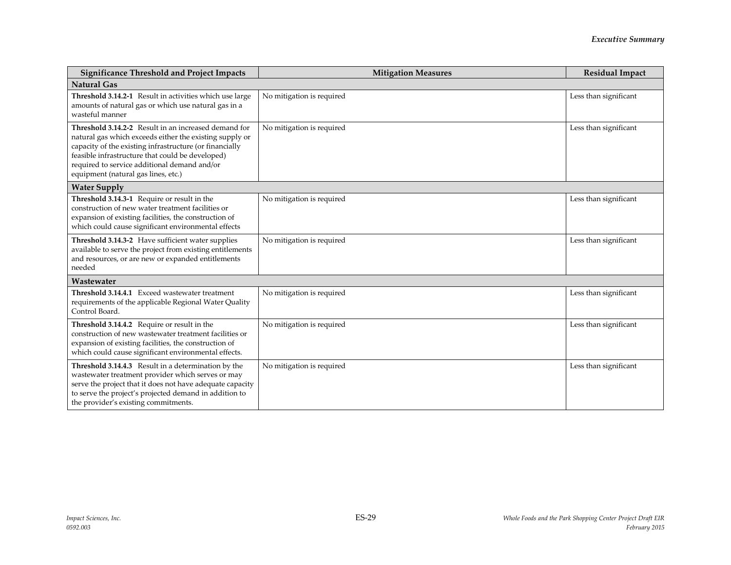| <b>Significance Threshold and Project Impacts</b>                                                                                                                                                                                                                                                                     | <b>Mitigation Measures</b> | <b>Residual Impact</b> |
|-----------------------------------------------------------------------------------------------------------------------------------------------------------------------------------------------------------------------------------------------------------------------------------------------------------------------|----------------------------|------------------------|
| <b>Natural Gas</b>                                                                                                                                                                                                                                                                                                    |                            |                        |
| Threshold 3.14.2-1 Result in activities which use large<br>amounts of natural gas or which use natural gas in a<br>wasteful manner                                                                                                                                                                                    | No mitigation is required  | Less than significant  |
| Threshold 3.14.2-2 Result in an increased demand for<br>natural gas which exceeds either the existing supply or<br>capacity of the existing infrastructure (or financially<br>feasible infrastructure that could be developed)<br>required to service additional demand and/or<br>equipment (natural gas lines, etc.) | No mitigation is required  | Less than significant  |
| <b>Water Supply</b>                                                                                                                                                                                                                                                                                                   |                            |                        |
| Threshold 3.14.3-1 Require or result in the<br>construction of new water treatment facilities or<br>expansion of existing facilities, the construction of<br>which could cause significant environmental effects                                                                                                      | No mitigation is required  | Less than significant  |
| Threshold 3.14.3-2 Have sufficient water supplies<br>available to serve the project from existing entitlements<br>and resources, or are new or expanded entitlements<br>needed                                                                                                                                        | No mitigation is required  | Less than significant  |
| Wastewater                                                                                                                                                                                                                                                                                                            |                            |                        |
| Threshold 3.14.4.1 Exceed wastewater treatment<br>requirements of the applicable Regional Water Quality<br>Control Board.                                                                                                                                                                                             | No mitigation is required  | Less than significant  |
| Threshold 3.14.4.2 Require or result in the<br>construction of new wastewater treatment facilities or<br>expansion of existing facilities, the construction of<br>which could cause significant environmental effects.                                                                                                | No mitigation is required  | Less than significant  |
| Threshold 3.14.4.3 Result in a determination by the<br>wastewater treatment provider which serves or may<br>serve the project that it does not have adequate capacity<br>to serve the project's projected demand in addition to<br>the provider's existing commitments.                                               | No mitigation is required  | Less than significant  |